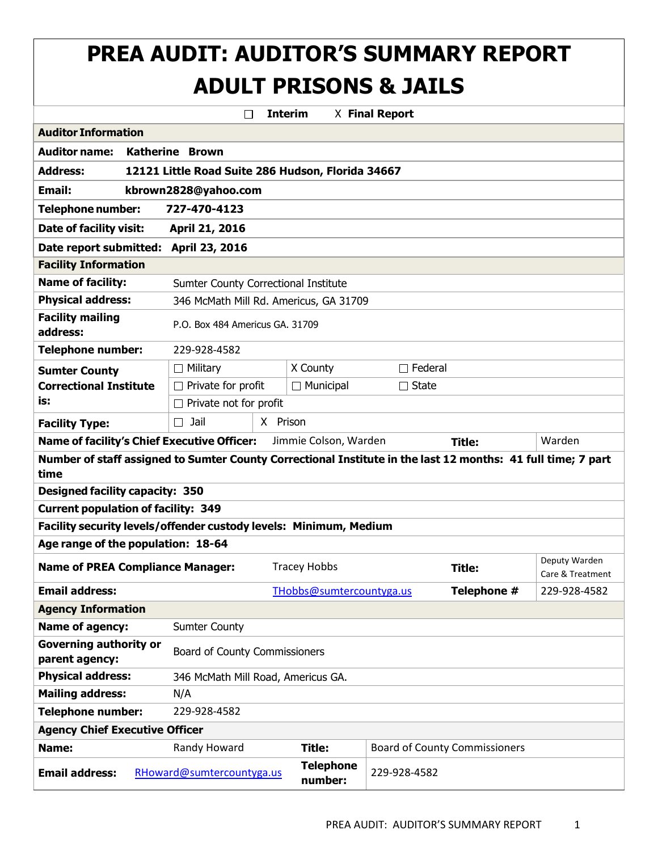# **PREA AUDIT: AUDITOR'S SUMMARY REPORT ADULT PRISONS & JAILS**

|                                                                                                                      | П                                                  |                                        | <b>Interim</b>              | X Final Report |                                      |                                   |  |
|----------------------------------------------------------------------------------------------------------------------|----------------------------------------------------|----------------------------------------|-----------------------------|----------------|--------------------------------------|-----------------------------------|--|
| <b>Auditor Information</b>                                                                                           |                                                    |                                        |                             |                |                                      |                                   |  |
| <b>Auditor name:</b>                                                                                                 | <b>Katherine Brown</b>                             |                                        |                             |                |                                      |                                   |  |
| <b>Address:</b><br>12121 Little Road Suite 286 Hudson, Florida 34667                                                 |                                                    |                                        |                             |                |                                      |                                   |  |
| <b>Email:</b><br>kbrown2828@yahoo.com                                                                                |                                                    |                                        |                             |                |                                      |                                   |  |
| 727-470-4123<br><b>Telephone number:</b>                                                                             |                                                    |                                        |                             |                |                                      |                                   |  |
| Date of facility visit:<br>April 21, 2016                                                                            |                                                    |                                        |                             |                |                                      |                                   |  |
| Date report submitted:<br>April 23, 2016                                                                             |                                                    |                                        |                             |                |                                      |                                   |  |
| <b>Facility Information</b>                                                                                          |                                                    |                                        |                             |                |                                      |                                   |  |
| <b>Name of facility:</b>                                                                                             |                                                    | Sumter County Correctional Institute   |                             |                |                                      |                                   |  |
| <b>Physical address:</b>                                                                                             |                                                    | 346 McMath Mill Rd. Americus, GA 31709 |                             |                |                                      |                                   |  |
| <b>Facility mailing</b><br>address:                                                                                  |                                                    | P.O. Box 484 Americus GA. 31709        |                             |                |                                      |                                   |  |
| <b>Telephone number:</b>                                                                                             | 229-928-4582                                       |                                        |                             |                |                                      |                                   |  |
| <b>Sumter County</b>                                                                                                 | $\Box$ Military                                    |                                        | X County                    | $\Box$ Federal |                                      |                                   |  |
| <b>Correctional Institute</b>                                                                                        | $\Box$ Private for profit                          |                                        | $\Box$ Municipal            | $\Box$ State   |                                      |                                   |  |
| is:                                                                                                                  | $\Box$ Private not for profit                      |                                        |                             |                |                                      |                                   |  |
| <b>Facility Type:</b>                                                                                                | Jail<br>$\Box$                                     | X Prison                               |                             |                |                                      |                                   |  |
|                                                                                                                      | <b>Name of facility's Chief Executive Officer:</b> |                                        | Jimmie Colson, Warden       |                | <b>Title:</b>                        | Warden                            |  |
| Number of staff assigned to Sumter County Correctional Institute in the last 12 months: 41 full time; 7 part<br>time |                                                    |                                        |                             |                |                                      |                                   |  |
| <b>Designed facility capacity: 350</b>                                                                               |                                                    |                                        |                             |                |                                      |                                   |  |
| <b>Current population of facility: 349</b>                                                                           |                                                    |                                        |                             |                |                                      |                                   |  |
| Facility security levels/offender custody levels: Minimum, Medium                                                    |                                                    |                                        |                             |                |                                      |                                   |  |
| Age range of the population: 18-64                                                                                   |                                                    |                                        |                             |                |                                      |                                   |  |
| <b>Name of PREA Compliance Manager:</b>                                                                              |                                                    |                                        | <b>Tracey Hobbs</b>         |                | <b>Title:</b>                        | Deputy Warden<br>Care & Treatment |  |
| <b>Email address:</b>                                                                                                |                                                    |                                        | THobbs@sumtercountyga.us    |                | Telephone #                          | 229-928-4582                      |  |
| <b>Agency Information</b>                                                                                            |                                                    |                                        |                             |                |                                      |                                   |  |
| Name of agency:                                                                                                      | <b>Sumter County</b>                               |                                        |                             |                |                                      |                                   |  |
| <b>Governing authority or</b><br>parent agency:                                                                      |                                                    | Board of County Commissioners          |                             |                |                                      |                                   |  |
| <b>Physical address:</b>                                                                                             |                                                    | 346 McMath Mill Road, Americus GA.     |                             |                |                                      |                                   |  |
| <b>Mailing address:</b>                                                                                              | N/A                                                |                                        |                             |                |                                      |                                   |  |
| <b>Telephone number:</b><br>229-928-4582                                                                             |                                                    |                                        |                             |                |                                      |                                   |  |
| <b>Agency Chief Executive Officer</b>                                                                                |                                                    |                                        |                             |                |                                      |                                   |  |
| Name:                                                                                                                | Randy Howard                                       |                                        | Title:                      |                | <b>Board of County Commissioners</b> |                                   |  |
| <b>Email address:</b>                                                                                                | RHoward@sumtercountyga.us                          |                                        | <b>Telephone</b><br>number: | 229-928-4582   |                                      |                                   |  |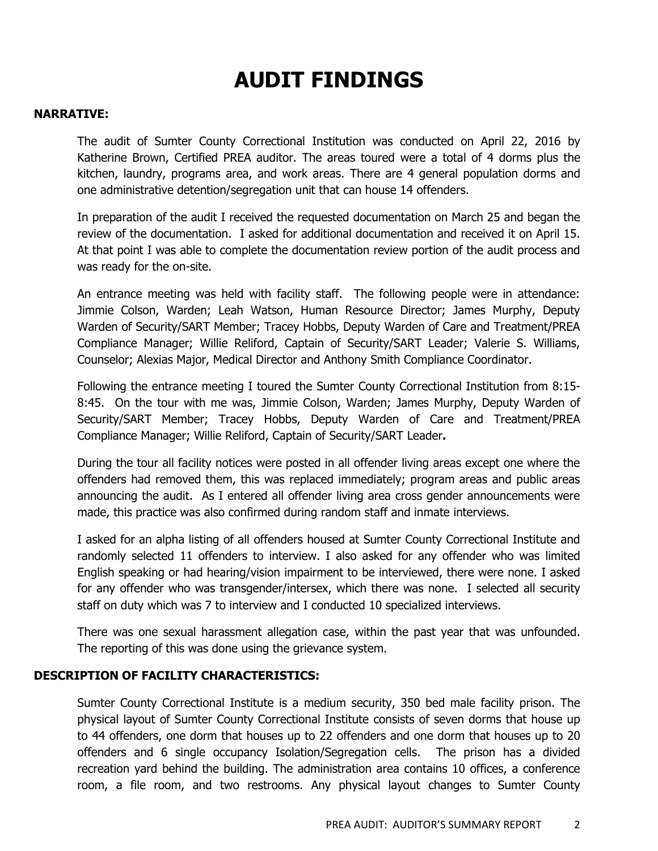# **AUDIT FINDINGS**

#### **NARRATIVE:**

The audit of Sumter County Correctional Institution was conducted on April 22, 2016 by Katherine Brown, Certified PREA auditor. The areas toured were a total of 4 dorms plus the kitchen, laundry, programs area, and work areas. There are 4 general population dorms and one administrative detention/segregation unit that can house 14 offenders.

In preparation of the audit I received the requested documentation on March 25 and began the review of the documentation. I asked for additional documentation and received it on April 15. At that point I was able to complete the documentation review portion of the audit process and was ready for the on-site.

An entrance meeting was held with facility staff. The following people were in attendance: Jimmie Colson, Warden; Leah Watson, Human Resource Director; James Murphy, Deputy Warden of Security/SART Member; Tracey Hobbs, Deputy Warden of Care and Treatment/PREA Compliance Manager; Willie Reliford, Captain of Security/SART Leader; Valerie S. Williams, Counselor; Alexias Major, Medical Director and Anthony Smith Compliance Coordinator.

Following the entrance meeting I toured the Sumter County Correctional Institution from 8:15- 8:45. On the tour with me was, Jimmie Colson, Warden; James Murphy, Deputy Warden of Security/SART Member; Tracey Hobbs, Deputy Warden of Care and Treatment/PREA Compliance Manager; Willie Reliford, Captain of Security/SART Leader**.**

During the tour all facility notices were posted in all offender living areas except one where the offenders had removed them, this was replaced immediately; program areas and public areas announcing the audit. As I entered all offender living area cross gender announcements were made, this practice was also confirmed during random staff and inmate interviews.

I asked for an alpha listing of all offenders housed at Sumter County Correctional Institute and randomly selected 11 offenders to interview. I also asked for any offender who was limited English speaking or had hearing/vision impairment to be interviewed, there were none. I asked for any offender who was transgender/intersex, which there was none. I selected all security staff on duty which was 7 to interview and I conducted 10 specialized interviews.

There was one sexual harassment allegation case, within the past year that was unfounded. The reporting of this was done using the grievance system.

## **DESCRIPTION OF FACILITY CHARACTERISTICS:**

Sumter County Correctional Institute is a medium security, 350 bed male facility prison. The physical layout of Sumter County Correctional Institute consists of seven dorms that house up to 44 offenders, one dorm that houses up to 22 offenders and one dorm that houses up to 20 offenders and 6 single occupancy Isolation/Segregation cells. The prison has a divided recreation yard behind the building. The administration area contains 10 offices, a conference room, a file room, and two restrooms. Any physical layout changes to Sumter County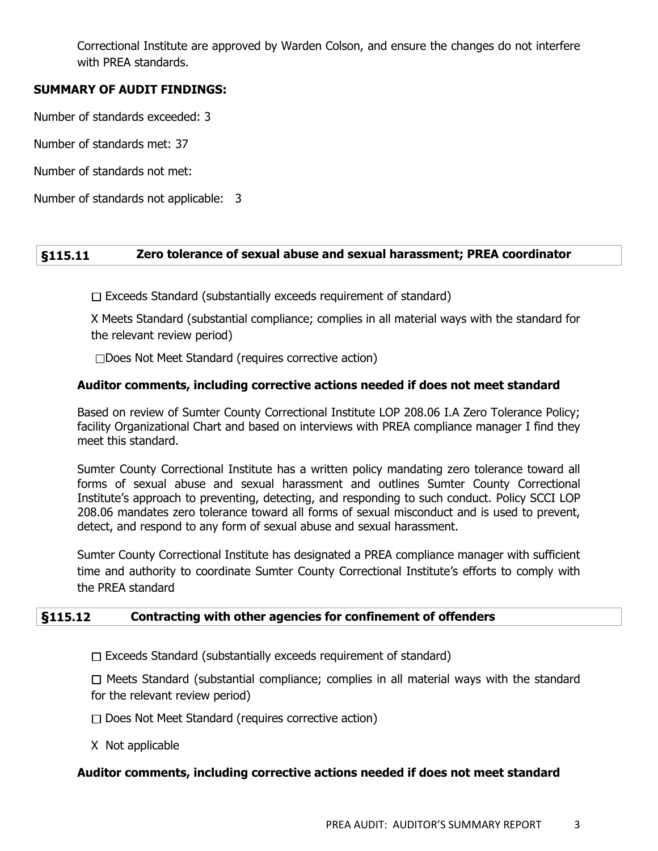Correctional Institute are approved by Warden Colson, and ensure the changes do not interfere with PREA standards.

## **SUMMARY OF AUDIT FINDINGS:**

Number of standards exceeded: 3

Number of standards met: 37

Number of standards not met:

Number of standards not applicable: 3

## **§115.11 Zero tolerance of sexual abuse and sexual harassment; PREA coordinator**

 $\Box$  Exceeds Standard (substantially exceeds requirement of standard)

X Meets Standard (substantial compliance; complies in all material ways with the standard for the relevant review period)

Does Not Meet Standard (requires corrective action)

#### **Auditor comments, including corrective actions needed if does not meet standard**

Based on review of Sumter County Correctional Institute LOP 208.06 I.A Zero Tolerance Policy; facility Organizational Chart and based on interviews with PREA compliance manager I find they meet this standard.

Sumter County Correctional Institute has a written policy mandating zero tolerance toward all forms of sexual abuse and sexual harassment and outlines Sumter County Correctional Institute's approach to preventing, detecting, and responding to such conduct. Policy SCCI LOP 208.06 mandates zero tolerance toward all forms of sexual misconduct and is used to prevent, detect, and respond to any form of sexual abuse and sexual harassment.

Sumter County Correctional Institute has designated a PREA compliance manager with sufficient time and authority to coordinate Sumter County Correctional Institute's efforts to comply with the PREA standard

#### **§115.12 Contracting with other agencies for confinement of offenders**

 $\Box$  Exceeds Standard (substantially exceeds requirement of standard)

 $\Box$  Meets Standard (substantial compliance; complies in all material ways with the standard for the relevant review period)

- $\Box$  Does Not Meet Standard (requires corrective action)
- X Not applicable

## **Auditor comments, including corrective actions needed if does not meet standard**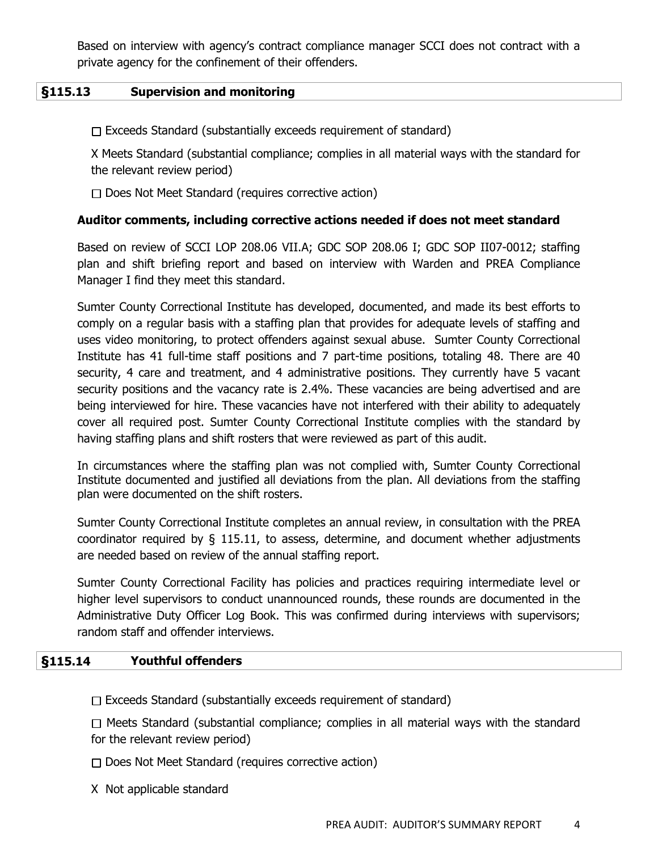Based on interview with agency's contract compliance manager SCCI does not contract with a private agency for the confinement of their offenders.

#### **§115.13 Supervision and monitoring**

 $\Box$  Exceeds Standard (substantially exceeds requirement of standard)

X Meets Standard (substantial compliance; complies in all material ways with the standard for the relevant review period)

 $\Box$  Does Not Meet Standard (requires corrective action)

#### **Auditor comments, including corrective actions needed if does not meet standard**

Based on review of SCCI LOP 208.06 VII.A; GDC SOP 208.06 I; GDC SOP II07-0012; staffing plan and shift briefing report and based on interview with Warden and PREA Compliance Manager I find they meet this standard.

Sumter County Correctional Institute has developed, documented, and made its best efforts to comply on a regular basis with a staffing plan that provides for adequate levels of staffing and uses video monitoring, to protect offenders against sexual abuse. Sumter County Correctional Institute has 41 full-time staff positions and 7 part-time positions, totaling 48. There are 40 security, 4 care and treatment, and 4 administrative positions. They currently have 5 vacant security positions and the vacancy rate is 2.4%. These vacancies are being advertised and are being interviewed for hire. These vacancies have not interfered with their ability to adequately cover all required post. Sumter County Correctional Institute complies with the standard by having staffing plans and shift rosters that were reviewed as part of this audit.

In circumstances where the staffing plan was not complied with, Sumter County Correctional Institute documented and justified all deviations from the plan. All deviations from the staffing plan were documented on the shift rosters.

Sumter County Correctional Institute completes an annual review, in consultation with the PREA coordinator required by § 115.11, to assess, determine, and document whether adjustments are needed based on review of the annual staffing report.

Sumter County Correctional Facility has policies and practices requiring intermediate level or higher level supervisors to conduct unannounced rounds, these rounds are documented in the Administrative Duty Officer Log Book. This was confirmed during interviews with supervisors; random staff and offender interviews.

#### **§115.14 Youthful offenders**

 $\Box$  Exceeds Standard (substantially exceeds requirement of standard)

 $\Box$  Meets Standard (substantial compliance; complies in all material ways with the standard for the relevant review period)

 $\Box$  Does Not Meet Standard (requires corrective action)

X Not applicable standard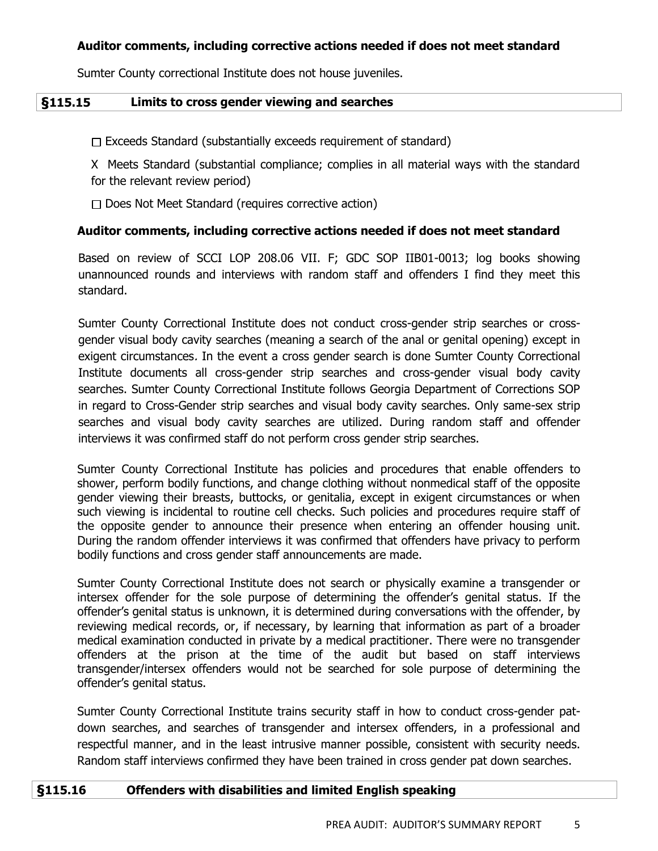Sumter County correctional Institute does not house juveniles.

#### **§115.15 Limits to cross gender viewing and searches**

 $\Box$  Exceeds Standard (substantially exceeds requirement of standard)

X Meets Standard (substantial compliance; complies in all material ways with the standard for the relevant review period)

 $\Box$  Does Not Meet Standard (requires corrective action)

## **Auditor comments, including corrective actions needed if does not meet standard**

Based on review of SCCI LOP 208.06 VII. F; GDC SOP IIB01-0013; log books showing unannounced rounds and interviews with random staff and offenders I find they meet this standard.

Sumter County Correctional Institute does not conduct cross-gender strip searches or crossgender visual body cavity searches (meaning a search of the anal or genital opening) except in exigent circumstances. In the event a cross gender search is done Sumter County Correctional Institute documents all cross-gender strip searches and cross-gender visual body cavity searches. Sumter County Correctional Institute follows Georgia Department of Corrections SOP in regard to Cross-Gender strip searches and visual body cavity searches. Only same-sex strip searches and visual body cavity searches are utilized. During random staff and offender interviews it was confirmed staff do not perform cross gender strip searches.

Sumter County Correctional Institute has policies and procedures that enable offenders to shower, perform bodily functions, and change clothing without nonmedical staff of the opposite gender viewing their breasts, buttocks, or genitalia, except in exigent circumstances or when such viewing is incidental to routine cell checks. Such policies and procedures require staff of the opposite gender to announce their presence when entering an offender housing unit. During the random offender interviews it was confirmed that offenders have privacy to perform bodily functions and cross gender staff announcements are made.

Sumter County Correctional Institute does not search or physically examine a transgender or intersex offender for the sole purpose of determining the offender's genital status. If the offender's genital status is unknown, it is determined during conversations with the offender, by reviewing medical records, or, if necessary, by learning that information as part of a broader medical examination conducted in private by a medical practitioner. There were no transgender offenders at the prison at the time of the audit but based on staff interviews transgender/intersex offenders would not be searched for sole purpose of determining the offender's genital status.

Sumter County Correctional Institute trains security staff in how to conduct cross-gender patdown searches, and searches of transgender and intersex offenders, in a professional and respectful manner, and in the least intrusive manner possible, consistent with security needs. Random staff interviews confirmed they have been trained in cross gender pat down searches.

## **§115.16 Offenders with disabilities and limited English speaking**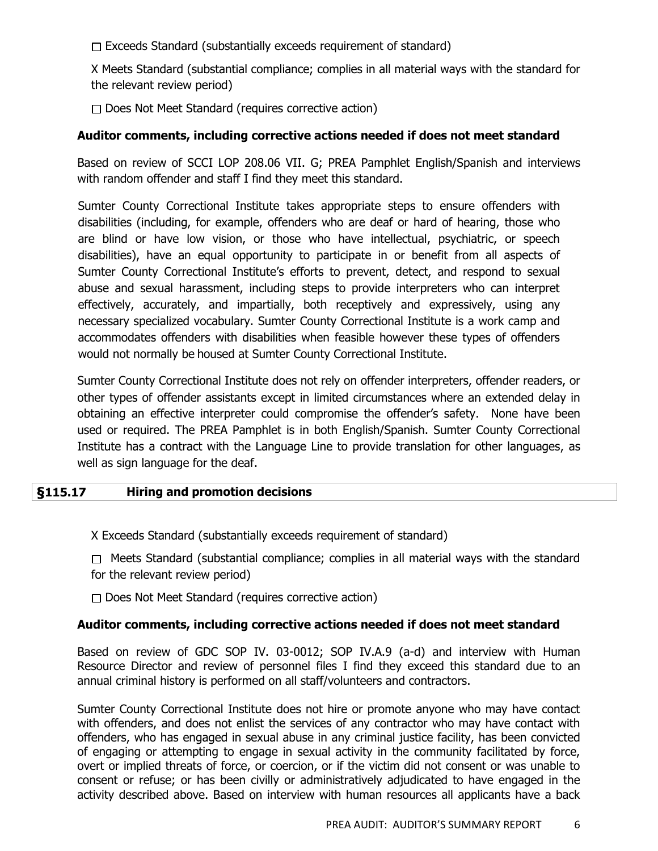$\Box$  Exceeds Standard (substantially exceeds requirement of standard)

X Meets Standard (substantial compliance; complies in all material ways with the standard for the relevant review period)

 $\Box$  Does Not Meet Standard (requires corrective action)

## **Auditor comments, including corrective actions needed if does not meet standard**

Based on review of SCCI LOP 208.06 VII. G; PREA Pamphlet English/Spanish and interviews with random offender and staff I find they meet this standard.

Sumter County Correctional Institute takes appropriate steps to ensure offenders with disabilities (including, for example, offenders who are deaf or hard of hearing, those who are blind or have low vision, or those who have intellectual, psychiatric, or speech disabilities), have an equal opportunity to participate in or benefit from all aspects of Sumter County Correctional Institute's efforts to prevent, detect, and respond to sexual abuse and sexual harassment, including steps to provide interpreters who can interpret effectively, accurately, and impartially, both receptively and expressively, using any necessary specialized vocabulary. Sumter County Correctional Institute is a work camp and accommodates offenders with disabilities when feasible however these types of offenders would not normally be housed at Sumter County Correctional Institute.

Sumter County Correctional Institute does not rely on offender interpreters, offender readers, or other types of offender assistants except in limited circumstances where an extended delay in obtaining an effective interpreter could compromise the offender's safety. None have been used or required. The PREA Pamphlet is in both English/Spanish. Sumter County Correctional Institute has a contract with the Language Line to provide translation for other languages, as well as sign language for the deaf.

## **§115.17 Hiring and promotion decisions**

X Exceeds Standard (substantially exceeds requirement of standard)

 $\Box$  Meets Standard (substantial compliance; complies in all material ways with the standard for the relevant review period)

 $\Box$  Does Not Meet Standard (requires corrective action)

## **Auditor comments, including corrective actions needed if does not meet standard**

Based on review of GDC SOP IV. 03-0012; SOP IV.A.9 (a-d) and interview with Human Resource Director and review of personnel files I find they exceed this standard due to an annual criminal history is performed on all staff/volunteers and contractors.

Sumter County Correctional Institute does not hire or promote anyone who may have contact with offenders, and does not enlist the services of any contractor who may have contact with offenders, who has engaged in sexual abuse in any criminal justice facility, has been convicted of engaging or attempting to engage in sexual activity in the community facilitated by force, overt or implied threats of force, or coercion, or if the victim did not consent or was unable to consent or refuse; or has been civilly or administratively adjudicated to have engaged in the activity described above. Based on interview with human resources all applicants have a back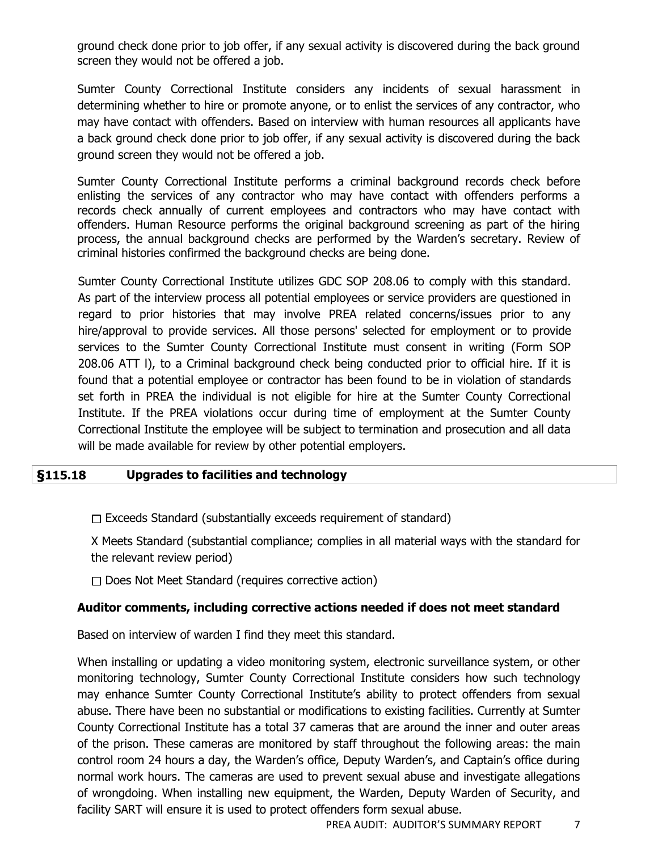ground check done prior to job offer, if any sexual activity is discovered during the back ground screen they would not be offered a job.

Sumter County Correctional Institute considers any incidents of sexual harassment in determining whether to hire or promote anyone, or to enlist the services of any contractor, who may have contact with offenders. Based on interview with human resources all applicants have a back ground check done prior to job offer, if any sexual activity is discovered during the back ground screen they would not be offered a job.

Sumter County Correctional Institute performs a criminal background records check before enlisting the services of any contractor who may have contact with offenders performs a records check annually of current employees and contractors who may have contact with offenders. Human Resource performs the original background screening as part of the hiring process, the annual background checks are performed by the Warden's secretary. Review of criminal histories confirmed the background checks are being done.

Sumter County Correctional Institute utilizes GDC SOP 208.06 to comply with this standard. As part of the interview process all potential employees or service providers are questioned in regard to prior histories that may involve PREA related concerns/issues prior to any hire/approval to provide services. All those persons' selected for employment or to provide services to the Sumter County Correctional Institute must consent in writing (Form SOP 208.06 ATT l), to a Criminal background check being conducted prior to official hire. If it is found that a potential employee or contractor has been found to be in violation of standards set forth in PREA the individual is not eligible for hire at the Sumter County Correctional Institute. If the PREA violations occur during time of employment at the Sumter County Correctional Institute the employee will be subject to termination and prosecution and all data will be made available for review by other potential employers.

# **§115.18 Upgrades to facilities and technology**

 $\Box$  Exceeds Standard (substantially exceeds requirement of standard)

X Meets Standard (substantial compliance; complies in all material ways with the standard for the relevant review period)

 $\Box$  Does Not Meet Standard (requires corrective action)

## **Auditor comments, including corrective actions needed if does not meet standard**

Based on interview of warden I find they meet this standard.

When installing or updating a video monitoring system, electronic surveillance system, or other monitoring technology, Sumter County Correctional Institute considers how such technology may enhance Sumter County Correctional Institute's ability to protect offenders from sexual abuse. There have been no substantial or modifications to existing facilities. Currently at Sumter County Correctional Institute has a total 37 cameras that are around the inner and outer areas of the prison. These cameras are monitored by staff throughout the following areas: the main control room 24 hours a day, the Warden's office, Deputy Warden's, and Captain's office during normal work hours. The cameras are used to prevent sexual abuse and investigate allegations of wrongdoing. When installing new equipment, the Warden, Deputy Warden of Security, and facility SART will ensure it is used to protect offenders form sexual abuse.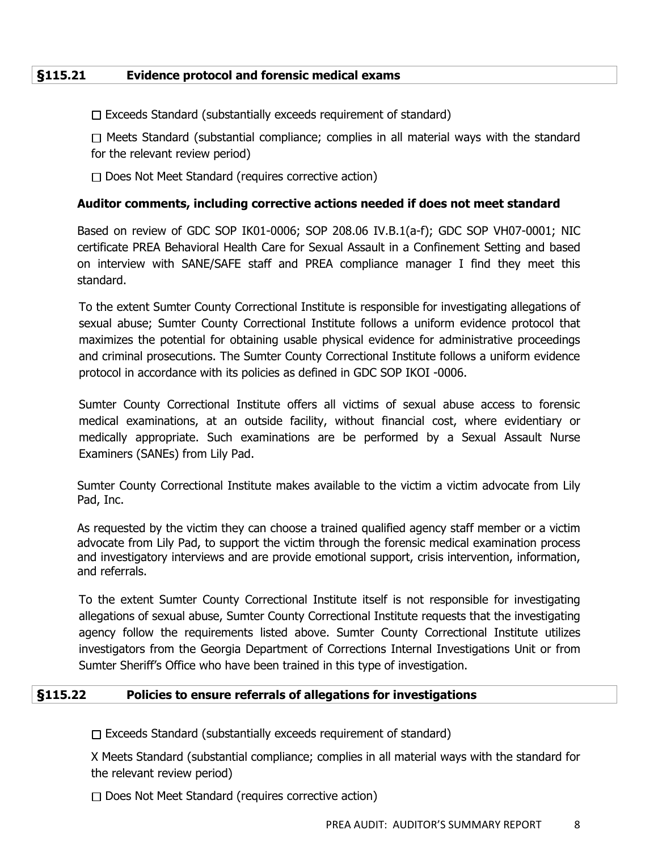## **§115.21 Evidence protocol and forensic medical exams**

 $\Box$  Exceeds Standard (substantially exceeds requirement of standard)

 $\Box$  Meets Standard (substantial compliance; complies in all material ways with the standard for the relevant review period)

 $\Box$  Does Not Meet Standard (requires corrective action)

## **Auditor comments, including corrective actions needed if does not meet standard**

Based on review of GDC SOP IK01-0006; SOP 208.06 IV.B.1(a-f); GDC SOP VH07-0001; NIC certificate PREA Behavioral Health Care for Sexual Assault in a Confinement Setting and based on interview with SANE/SAFE staff and PREA compliance manager I find they meet this standard.

To the extent Sumter County Correctional Institute is responsible for investigating allegations of sexual abuse; Sumter County Correctional Institute follows a uniform evidence protocol that maximizes the potential for obtaining usable physical evidence for administrative proceedings and criminal prosecutions. The Sumter County Correctional Institute follows a uniform evidence protocol in accordance with its policies as defined in GDC SOP IKOI -0006.

Sumter County Correctional Institute offers all victims of sexual abuse access to forensic medical examinations, at an outside facility, without financial cost, where evidentiary or medically appropriate. Such examinations are be performed by a Sexual Assault Nurse Examiners (SANEs) from Lily Pad.

Sumter County Correctional Institute makes available to the victim a victim advocate from Lily Pad, Inc.

As requested by the victim they can choose a trained qualified agency staff member or a victim advocate from Lily Pad, to support the victim through the forensic medical examination process and investigatory interviews and are provide emotional support, crisis intervention, information, and referrals.

To the extent Sumter County Correctional Institute itself is not responsible for investigating allegations of sexual abuse, Sumter County Correctional Institute requests that the investigating agency follow the requirements listed above. Sumter County Correctional Institute utilizes investigators from the Georgia Department of Corrections Internal Investigations Unit or from Sumter Sheriff's Office who have been trained in this type of investigation.

## **§115.22 Policies to ensure referrals of allegations for investigations**

 $\Box$  Exceeds Standard (substantially exceeds requirement of standard)

X Meets Standard (substantial compliance; complies in all material ways with the standard for the relevant review period)

 $\Box$  Does Not Meet Standard (requires corrective action)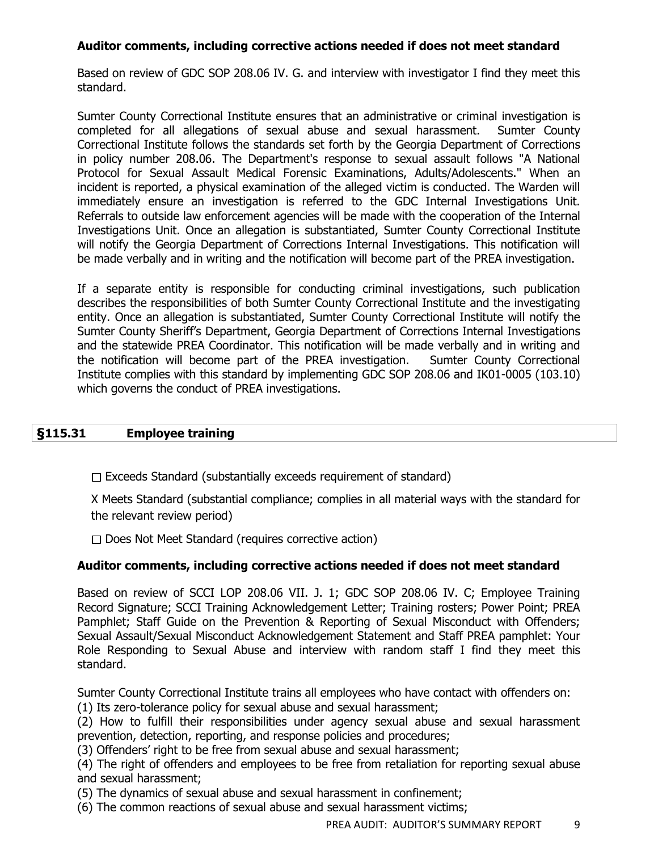# **Auditor comments, including corrective actions needed if does not meet standard**

Based on review of GDC SOP 208.06 IV. G. and interview with investigator I find they meet this standard.

Sumter County Correctional Institute ensures that an administrative or criminal investigation is completed for all allegations of sexual abuse and sexual harassment. Sumter County Correctional Institute follows the standards set forth by the Georgia Department of Corrections in policy number 208.06. The Department's response to sexual assault follows "A National Protocol for Sexual Assault Medical Forensic Examinations, Adults/Adolescents." When an incident is reported, a physical examination of the alleged victim is conducted. The Warden will immediately ensure an investigation is referred to the GDC Internal Investigations Unit. Referrals to outside law enforcement agencies will be made with the cooperation of the Internal Investigations Unit. Once an allegation is substantiated, Sumter County Correctional Institute will notify the Georgia Department of Corrections Internal Investigations. This notification will be made verbally and in writing and the notification will become part of the PREA investigation.

If a separate entity is responsible for conducting criminal investigations, such publication describes the responsibilities of both Sumter County Correctional Institute and the investigating entity. Once an allegation is substantiated, Sumter County Correctional Institute will notify the Sumter County Sheriff's Department, Georgia Department of Corrections Internal Investigations and the statewide PREA Coordinator. This notification will be made verbally and in writing and the notification will become part of the PREA investigation. Sumter County Correctional Institute complies with this standard by implementing GDC SOP 208.06 and IK01-0005 (103.10) which governs the conduct of PREA investigations.

# **§115.31 Employee training**

 $\Box$  Exceeds Standard (substantially exceeds requirement of standard)

X Meets Standard (substantial compliance; complies in all material ways with the standard for the relevant review period)

 $\Box$  Does Not Meet Standard (requires corrective action)

## **Auditor comments, including corrective actions needed if does not meet standard**

Based on review of SCCI LOP 208.06 VII. J. 1; GDC SOP 208.06 IV. C; Employee Training Record Signature; SCCI Training Acknowledgement Letter; Training rosters; Power Point; PREA Pamphlet; Staff Guide on the Prevention & Reporting of Sexual Misconduct with Offenders; Sexual Assault/Sexual Misconduct Acknowledgement Statement and Staff PREA pamphlet: Your Role Responding to Sexual Abuse and interview with random staff I find they meet this standard.

Sumter County Correctional Institute trains all employees who have contact with offenders on: (1) Its zero-tolerance policy for sexual abuse and sexual harassment;

(2) How to fulfill their responsibilities under agency sexual abuse and sexual harassment prevention, detection, reporting, and response policies and procedures;

(3) Offenders' right to be free from sexual abuse and sexual harassment;

(4) The right of offenders and employees to be free from retaliation for reporting sexual abuse and sexual harassment;

(5) The dynamics of sexual abuse and sexual harassment in confinement;

(6) The common reactions of sexual abuse and sexual harassment victims;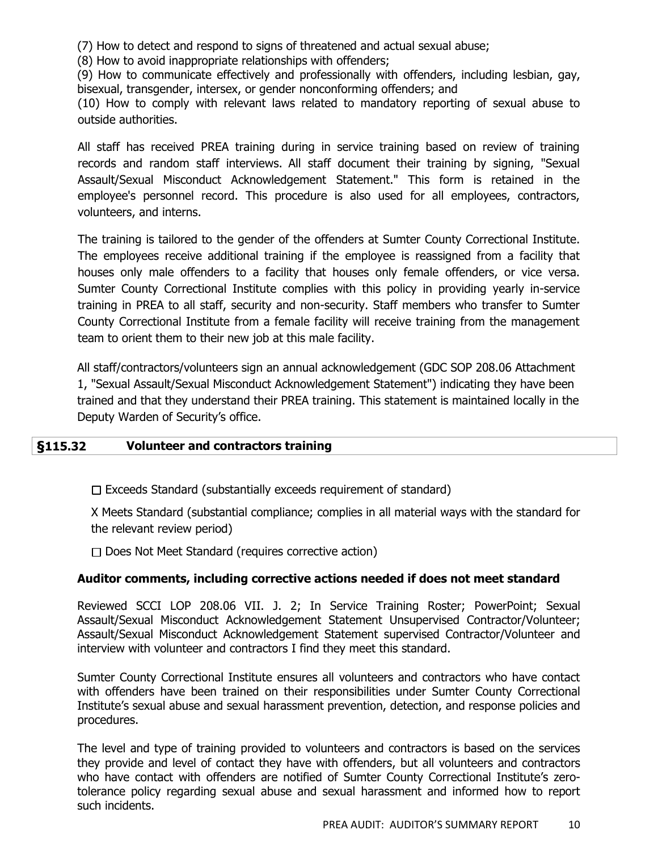(7) How to detect and respond to signs of threatened and actual sexual abuse;

(8) How to avoid inappropriate relationships with offenders;

(9) How to communicate effectively and professionally with offenders, including lesbian, gay, bisexual, transgender, intersex, or gender nonconforming offenders; and

(10) How to comply with relevant laws related to mandatory reporting of sexual abuse to outside authorities.

All staff has received PREA training during in service training based on review of training records and random staff interviews. All staff document their training by signing, "Sexual Assault/Sexual Misconduct Acknowledgement Statement." This form is retained in the employee's personnel record. This procedure is also used for all employees, contractors, volunteers, and interns.

The training is tailored to the gender of the offenders at Sumter County Correctional Institute. The employees receive additional training if the employee is reassigned from a facility that houses only male offenders to a facility that houses only female offenders, or vice versa. Sumter County Correctional Institute complies with this policy in providing yearly in-service training in PREA to all staff, security and non-security. Staff members who transfer to Sumter County Correctional Institute from a female facility will receive training from the management team to orient them to their new job at this male facility.

All staff/contractors/volunteers sign an annual acknowledgement (GDC SOP 208.06 Attachment 1, "Sexual Assault/Sexual Misconduct Acknowledgement Statement") indicating they have been trained and that they understand their PREA training. This statement is maintained locally in the Deputy Warden of Security's office.

## **§115.32 Volunteer and contractors training**

 $\Box$  Exceeds Standard (substantially exceeds requirement of standard)

X Meets Standard (substantial compliance; complies in all material ways with the standard for the relevant review period)

 $\Box$  Does Not Meet Standard (requires corrective action)

## **Auditor comments, including corrective actions needed if does not meet standard**

Reviewed SCCI LOP 208.06 VII. J. 2; In Service Training Roster; PowerPoint; Sexual Assault/Sexual Misconduct Acknowledgement Statement Unsupervised Contractor/Volunteer; Assault/Sexual Misconduct Acknowledgement Statement supervised Contractor/Volunteer and interview with volunteer and contractors I find they meet this standard.

Sumter County Correctional Institute ensures all volunteers and contractors who have contact with offenders have been trained on their responsibilities under Sumter County Correctional Institute's sexual abuse and sexual harassment prevention, detection, and response policies and procedures.

The level and type of training provided to volunteers and contractors is based on the services they provide and level of contact they have with offenders, but all volunteers and contractors who have contact with offenders are notified of Sumter County Correctional Institute's zerotolerance policy regarding sexual abuse and sexual harassment and informed how to report such incidents.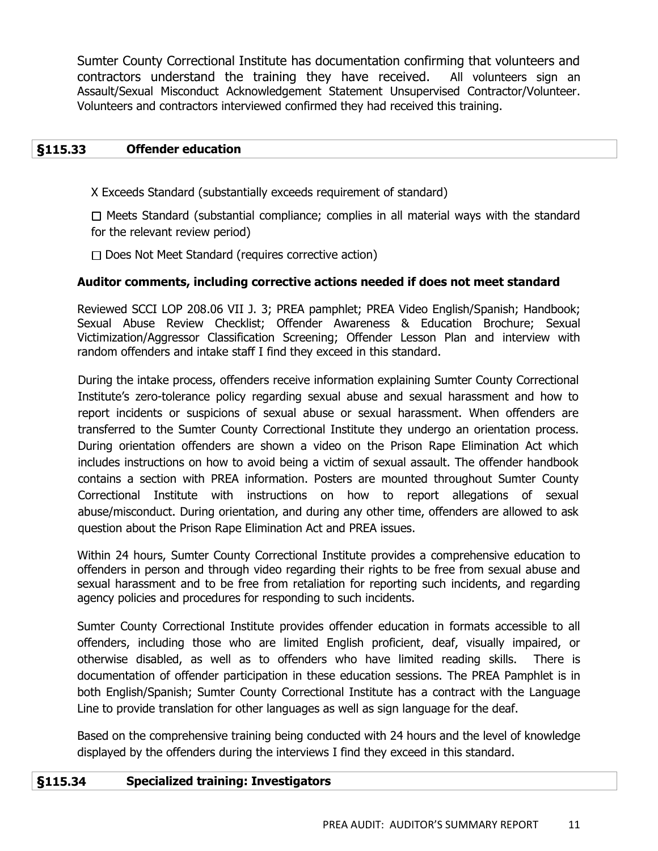Sumter County Correctional Institute has documentation confirming that volunteers and contractors understand the training they have received. All volunteers sign an Assault/Sexual Misconduct Acknowledgement Statement Unsupervised Contractor/Volunteer. Volunteers and contractors interviewed confirmed they had received this training.

## **§115.33 Offender education**

X Exceeds Standard (substantially exceeds requirement of standard)

 $\Box$  Meets Standard (substantial compliance; complies in all material ways with the standard for the relevant review period)

 $\Box$  Does Not Meet Standard (requires corrective action)

## **Auditor comments, including corrective actions needed if does not meet standard**

Reviewed SCCI LOP 208.06 VII J. 3; PREA pamphlet; PREA Video English/Spanish; Handbook; Sexual Abuse Review Checklist; Offender Awareness & Education Brochure; Sexual Victimization/Aggressor Classification Screening; Offender Lesson Plan and interview with random offenders and intake staff I find they exceed in this standard.

During the intake process, offenders receive information explaining Sumter County Correctional Institute's zero-tolerance policy regarding sexual abuse and sexual harassment and how to report incidents or suspicions of sexual abuse or sexual harassment. When offenders are transferred to the Sumter County Correctional Institute they undergo an orientation process. During orientation offenders are shown a video on the Prison Rape Elimination Act which includes instructions on how to avoid being a victim of sexual assault. The offender handbook contains a section with PREA information. Posters are mounted throughout Sumter County Correctional Institute with instructions on how to report allegations of sexual abuse/misconduct. During orientation, and during any other time, offenders are allowed to ask question about the Prison Rape Elimination Act and PREA issues.

Within 24 hours, Sumter County Correctional Institute provides a comprehensive education to offenders in person and through video regarding their rights to be free from sexual abuse and sexual harassment and to be free from retaliation for reporting such incidents, and regarding agency policies and procedures for responding to such incidents.

Sumter County Correctional Institute provides offender education in formats accessible to all offenders, including those who are limited English proficient, deaf, visually impaired, or otherwise disabled, as well as to offenders who have limited reading skills. There is documentation of offender participation in these education sessions. The PREA Pamphlet is in both English/Spanish; Sumter County Correctional Institute has a contract with the Language Line to provide translation for other languages as well as sign language for the deaf.

Based on the comprehensive training being conducted with 24 hours and the level of knowledge displayed by the offenders during the interviews I find they exceed in this standard.

## **§115.34 Specialized training: Investigators**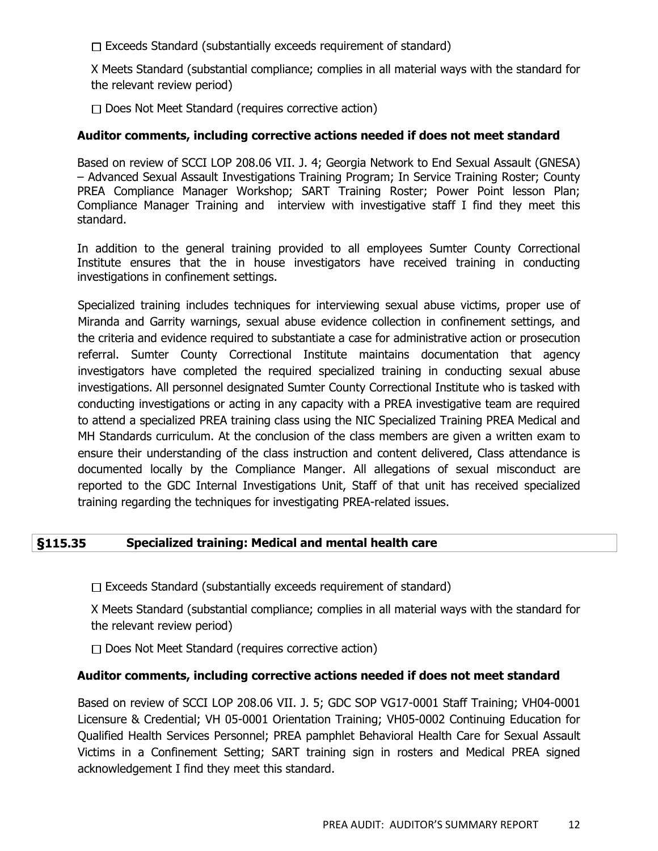$\Box$  Exceeds Standard (substantially exceeds requirement of standard)

X Meets Standard (substantial compliance; complies in all material ways with the standard for the relevant review period)

 $\Box$  Does Not Meet Standard (requires corrective action)

#### **Auditor comments, including corrective actions needed if does not meet standard**

Based on review of SCCI LOP 208.06 VII. J. 4; Georgia Network to End Sexual Assault (GNESA) – Advanced Sexual Assault Investigations Training Program; In Service Training Roster; County PREA Compliance Manager Workshop; SART Training Roster; Power Point lesson Plan; Compliance Manager Training and interview with investigative staff I find they meet this standard.

In addition to the general training provided to all employees Sumter County Correctional Institute ensures that the in house investigators have received training in conducting investigations in confinement settings.

Specialized training includes techniques for interviewing sexual abuse victims, proper use of Miranda and Garrity warnings, sexual abuse evidence collection in confinement settings, and the criteria and evidence required to substantiate a case for administrative action or prosecution referral. Sumter County Correctional Institute maintains documentation that agency investigators have completed the required specialized training in conducting sexual abuse investigations. All personnel designated Sumter County Correctional Institute who is tasked with conducting investigations or acting in any capacity with a PREA investigative team are required to attend a specialized PREA training class using the NIC Specialized Training PREA Medical and MH Standards curriculum. At the conclusion of the class members are given a written exam to ensure their understanding of the class instruction and content delivered, Class attendance is documented locally by the Compliance Manger. All allegations of sexual misconduct are reported to the GDC Internal Investigations Unit, Staff of that unit has received specialized training regarding the techniques for investigating PREA-related issues.

## **§115.35 Specialized training: Medical and mental health care**

 $\Box$  Exceeds Standard (substantially exceeds requirement of standard)

X Meets Standard (substantial compliance; complies in all material ways with the standard for the relevant review period)

 $\Box$  Does Not Meet Standard (requires corrective action)

#### **Auditor comments, including corrective actions needed if does not meet standard**

Based on review of SCCI LOP 208.06 VII. J. 5; GDC SOP VG17-0001 Staff Training; VH04-0001 Licensure & Credential; VH 05-0001 Orientation Training; VH05-0002 Continuing Education for Qualified Health Services Personnel; PREA pamphlet Behavioral Health Care for Sexual Assault Victims in a Confinement Setting; SART training sign in rosters and Medical PREA signed acknowledgement I find they meet this standard.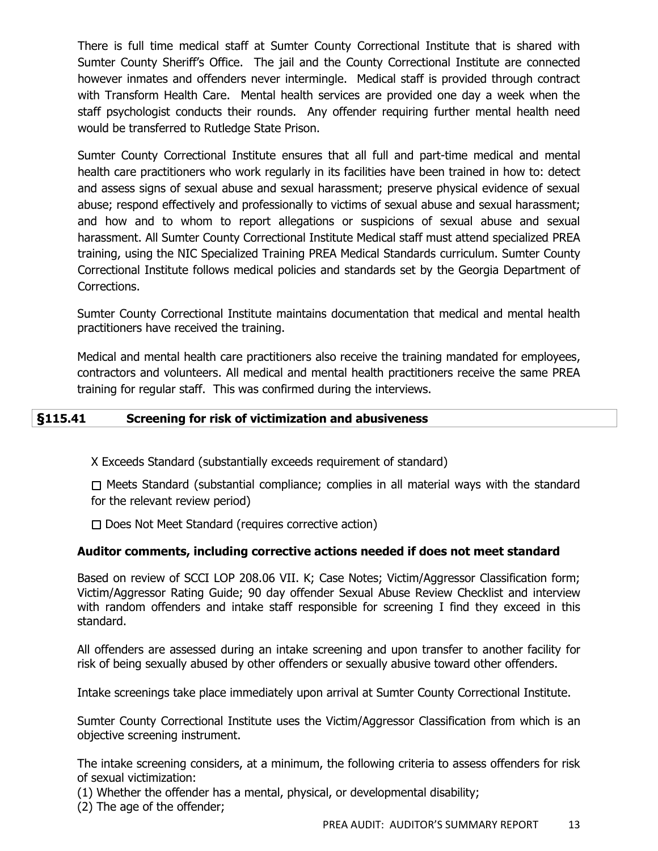There is full time medical staff at Sumter County Correctional Institute that is shared with Sumter County Sheriff's Office. The jail and the County Correctional Institute are connected however inmates and offenders never intermingle. Medical staff is provided through contract with Transform Health Care. Mental health services are provided one day a week when the staff psychologist conducts their rounds. Any offender requiring further mental health need would be transferred to Rutledge State Prison.

Sumter County Correctional Institute ensures that all full and part-time medical and mental health care practitioners who work regularly in its facilities have been trained in how to: detect and assess signs of sexual abuse and sexual harassment; preserve physical evidence of sexual abuse; respond effectively and professionally to victims of sexual abuse and sexual harassment; and how and to whom to report allegations or suspicions of sexual abuse and sexual harassment. All Sumter County Correctional Institute Medical staff must attend specialized PREA training, using the NIC Specialized Training PREA Medical Standards curriculum. Sumter County Correctional Institute follows medical policies and standards set by the Georgia Department of Corrections.

Sumter County Correctional Institute maintains documentation that medical and mental health practitioners have received the training.

Medical and mental health care practitioners also receive the training mandated for employees, contractors and volunteers. All medical and mental health practitioners receive the same PREA training for regular staff. This was confirmed during the interviews.

## **§115.41 Screening for risk of victimization and abusiveness**

X Exceeds Standard (substantially exceeds requirement of standard)

 $\Box$  Meets Standard (substantial compliance; complies in all material ways with the standard for the relevant review period)

 $\Box$  Does Not Meet Standard (requires corrective action)

# **Auditor comments, including corrective actions needed if does not meet standard**

Based on review of SCCI LOP 208.06 VII. K; Case Notes; Victim/Aggressor Classification form; Victim/Aggressor Rating Guide; 90 day offender Sexual Abuse Review Checklist and interview with random offenders and intake staff responsible for screening I find they exceed in this standard.

All offenders are assessed during an intake screening and upon transfer to another facility for risk of being sexually abused by other offenders or sexually abusive toward other offenders.

Intake screenings take place immediately upon arrival at Sumter County Correctional Institute.

Sumter County Correctional Institute uses the Victim/Aggressor Classification from which is an objective screening instrument.

The intake screening considers, at a minimum, the following criteria to assess offenders for risk of sexual victimization:

(1) Whether the offender has a mental, physical, or developmental disability;

(2) The age of the offender;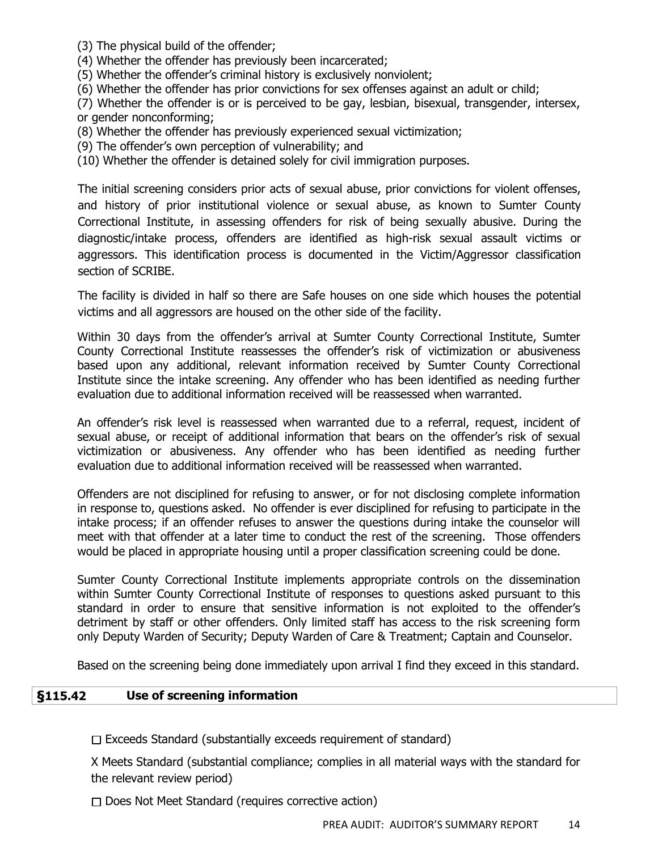(3) The physical build of the offender;

(4) Whether the offender has previously been incarcerated;

(5) Whether the offender's criminal history is exclusively nonviolent;

(6) Whether the offender has prior convictions for sex offenses against an adult or child;

(7) Whether the offender is or is perceived to be gay, lesbian, bisexual, transgender, intersex, or gender nonconforming;

(8) Whether the offender has previously experienced sexual victimization;

(9) The offender's own perception of vulnerability; and

(10) Whether the offender is detained solely for civil immigration purposes.

The initial screening considers prior acts of sexual abuse, prior convictions for violent offenses, and history of prior institutional violence or sexual abuse, as known to Sumter County Correctional Institute, in assessing offenders for risk of being sexually abusive. During the diagnostic/intake process, offenders are identified as high-risk sexual assault victims or aggressors. This identification process is documented in the Victim/Aggressor classification section of SCRIBE.

The facility is divided in half so there are Safe houses on one side which houses the potential victims and all aggressors are housed on the other side of the facility.

Within 30 days from the offender's arrival at Sumter County Correctional Institute, Sumter County Correctional Institute reassesses the offender's risk of victimization or abusiveness based upon any additional, relevant information received by Sumter County Correctional Institute since the intake screening. Any offender who has been identified as needing further evaluation due to additional information received will be reassessed when warranted.

An offender's risk level is reassessed when warranted due to a referral, request, incident of sexual abuse, or receipt of additional information that bears on the offender's risk of sexual victimization or abusiveness. Any offender who has been identified as needing further evaluation due to additional information received will be reassessed when warranted.

Offenders are not disciplined for refusing to answer, or for not disclosing complete information in response to, questions asked. No offender is ever disciplined for refusing to participate in the intake process; if an offender refuses to answer the questions during intake the counselor will meet with that offender at a later time to conduct the rest of the screening. Those offenders would be placed in appropriate housing until a proper classification screening could be done.

Sumter County Correctional Institute implements appropriate controls on the dissemination within Sumter County Correctional Institute of responses to questions asked pursuant to this standard in order to ensure that sensitive information is not exploited to the offender's detriment by staff or other offenders. Only limited staff has access to the risk screening form only Deputy Warden of Security; Deputy Warden of Care & Treatment; Captain and Counselor.

Based on the screening being done immediately upon arrival I find they exceed in this standard.

#### **§115.42 Use of screening information**

 $\Box$  Exceeds Standard (substantially exceeds requirement of standard)

X Meets Standard (substantial compliance; complies in all material ways with the standard for the relevant review period)

 $\Box$  Does Not Meet Standard (requires corrective action)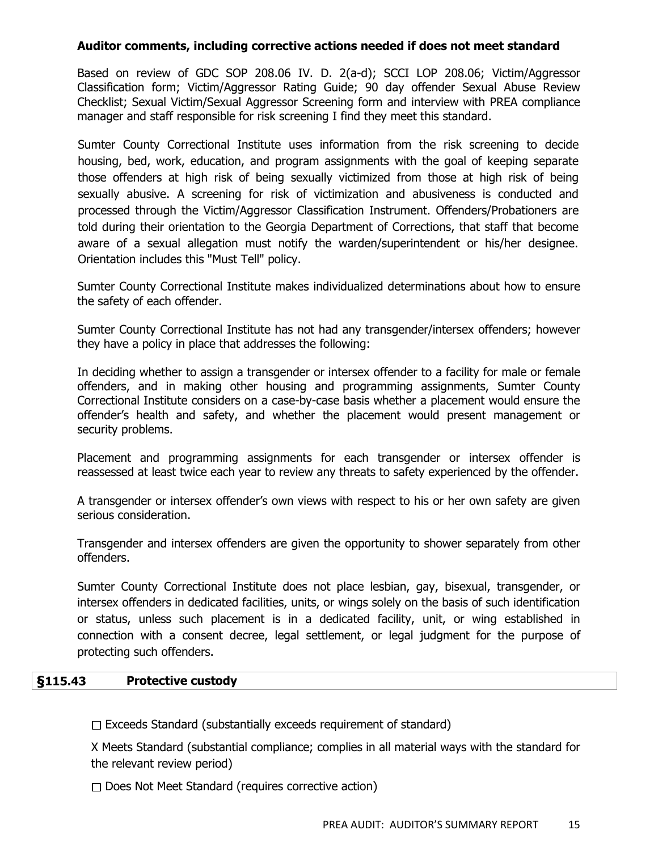## **Auditor comments, including corrective actions needed if does not meet standard**

Based on review of GDC SOP 208.06 IV. D. 2(a-d); SCCI LOP 208.06; Victim/Aggressor Classification form; Victim/Aggressor Rating Guide; 90 day offender Sexual Abuse Review Checklist; Sexual Victim/Sexual Aggressor Screening form and interview with PREA compliance manager and staff responsible for risk screening I find they meet this standard.

Sumter County Correctional Institute uses information from the risk screening to decide housing, bed, work, education, and program assignments with the goal of keeping separate those offenders at high risk of being sexually victimized from those at high risk of being sexually abusive. A screening for risk of victimization and abusiveness is conducted and processed through the Victim/Aggressor Classification Instrument. Offenders/Probationers are told during their orientation to the Georgia Department of Corrections, that staff that become aware of a sexual allegation must notify the warden/superintendent or his/her designee. Orientation includes this "Must Tell" policy.

Sumter County Correctional Institute makes individualized determinations about how to ensure the safety of each offender.

Sumter County Correctional Institute has not had any transgender/intersex offenders; however they have a policy in place that addresses the following:

In deciding whether to assign a transgender or intersex offender to a facility for male or female offenders, and in making other housing and programming assignments, Sumter County Correctional Institute considers on a case-by-case basis whether a placement would ensure the offender's health and safety, and whether the placement would present management or security problems.

Placement and programming assignments for each transgender or intersex offender is reassessed at least twice each year to review any threats to safety experienced by the offender.

A transgender or intersex offender's own views with respect to his or her own safety are given serious consideration.

Transgender and intersex offenders are given the opportunity to shower separately from other offenders.

Sumter County Correctional Institute does not place lesbian, gay, bisexual, transgender, or intersex offenders in dedicated facilities, units, or wings solely on the basis of such identification or status, unless such placement is in a dedicated facility, unit, or wing established in connection with a consent decree, legal settlement, or legal judgment for the purpose of protecting such offenders.

## **§115.43 Protective custody**

 $\Box$  Exceeds Standard (substantially exceeds requirement of standard)

X Meets Standard (substantial compliance; complies in all material ways with the standard for the relevant review period)

 $\Box$  Does Not Meet Standard (requires corrective action)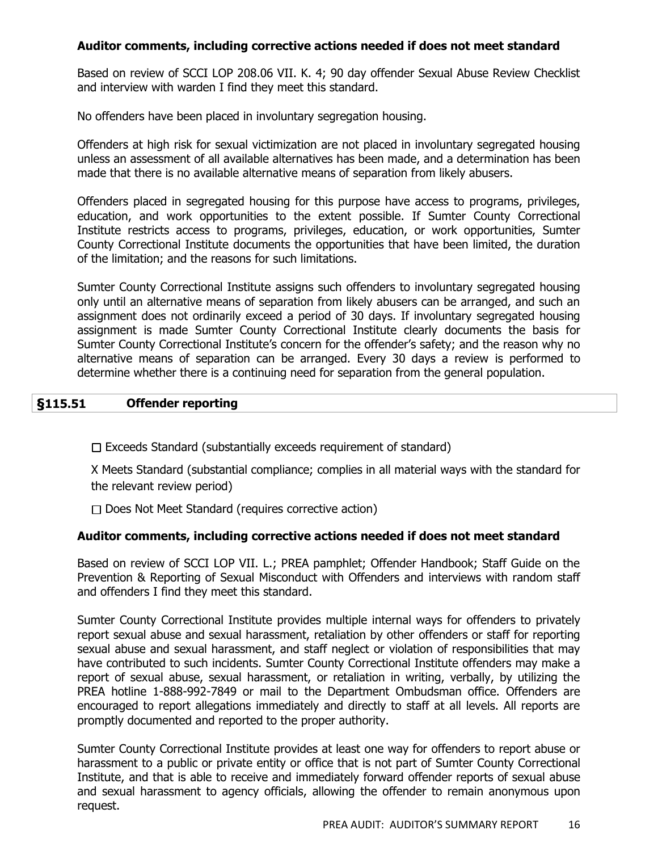## **Auditor comments, including corrective actions needed if does not meet standard**

Based on review of SCCI LOP 208.06 VII. K. 4; 90 day offender Sexual Abuse Review Checklist and interview with warden I find they meet this standard.

No offenders have been placed in involuntary segregation housing.

Offenders at high risk for sexual victimization are not placed in involuntary segregated housing unless an assessment of all available alternatives has been made, and a determination has been made that there is no available alternative means of separation from likely abusers.

Offenders placed in segregated housing for this purpose have access to programs, privileges, education, and work opportunities to the extent possible. If Sumter County Correctional Institute restricts access to programs, privileges, education, or work opportunities, Sumter County Correctional Institute documents the opportunities that have been limited, the duration of the limitation; and the reasons for such limitations.

Sumter County Correctional Institute assigns such offenders to involuntary segregated housing only until an alternative means of separation from likely abusers can be arranged, and such an assignment does not ordinarily exceed a period of 30 days. If involuntary segregated housing assignment is made Sumter County Correctional Institute clearly documents the basis for Sumter County Correctional Institute's concern for the offender's safety; and the reason why no alternative means of separation can be arranged. Every 30 days a review is performed to determine whether there is a continuing need for separation from the general population.

## **§115.51 Offender reporting**

 $\Box$  Exceeds Standard (substantially exceeds requirement of standard)

X Meets Standard (substantial compliance; complies in all material ways with the standard for the relevant review period)

 $\Box$  Does Not Meet Standard (requires corrective action)

## **Auditor comments, including corrective actions needed if does not meet standard**

Based on review of SCCI LOP VII. L.; PREA pamphlet; Offender Handbook; Staff Guide on the Prevention & Reporting of Sexual Misconduct with Offenders and interviews with random staff and offenders I find they meet this standard.

Sumter County Correctional Institute provides multiple internal ways for offenders to privately report sexual abuse and sexual harassment, retaliation by other offenders or staff for reporting sexual abuse and sexual harassment, and staff neglect or violation of responsibilities that may have contributed to such incidents. Sumter County Correctional Institute offenders may make a report of sexual abuse, sexual harassment, or retaliation in writing, verbally, by utilizing the PREA hotline 1-888-992-7849 or mail to the Department Ombudsman office. Offenders are encouraged to report allegations immediately and directly to staff at all levels. All reports are promptly documented and reported to the proper authority.

Sumter County Correctional Institute provides at least one way for offenders to report abuse or harassment to a public or private entity or office that is not part of Sumter County Correctional Institute, and that is able to receive and immediately forward offender reports of sexual abuse and sexual harassment to agency officials, allowing the offender to remain anonymous upon request.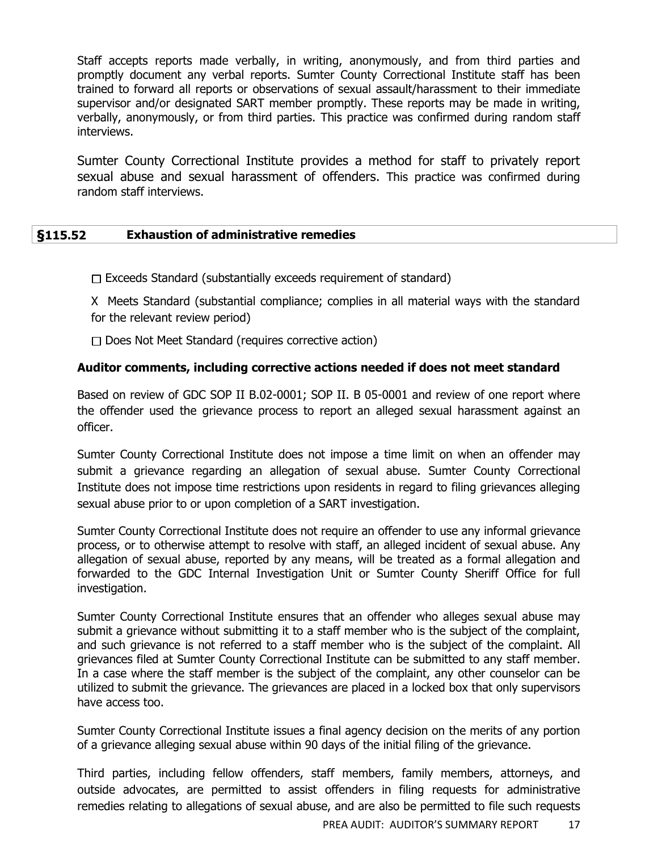Staff accepts reports made verbally, in writing, anonymously, and from third parties and promptly document any verbal reports. Sumter County Correctional Institute staff has been trained to forward all reports or observations of sexual assault/harassment to their immediate supervisor and/or designated SART member promptly. These reports may be made in writing, verbally, anonymously, or from third parties. This practice was confirmed during random staff interviews.

Sumter County Correctional Institute provides a method for staff to privately report sexual abuse and sexual harassment of offenders. This practice was confirmed during random staff interviews.

## **§115.52 Exhaustion of administrative remedies**

 $\Box$  Exceeds Standard (substantially exceeds requirement of standard)

X Meets Standard (substantial compliance; complies in all material ways with the standard for the relevant review period)

 $\Box$  Does Not Meet Standard (requires corrective action)

## **Auditor comments, including corrective actions needed if does not meet standard**

Based on review of GDC SOP II B.02-0001; SOP II. B 05-0001 and review of one report where the offender used the grievance process to report an alleged sexual harassment against an officer.

Sumter County Correctional Institute does not impose a time limit on when an offender may submit a grievance regarding an allegation of sexual abuse. Sumter County Correctional Institute does not impose time restrictions upon residents in regard to filing grievances alleging sexual abuse prior to or upon completion of a SART investigation.

Sumter County Correctional Institute does not require an offender to use any informal grievance process, or to otherwise attempt to resolve with staff, an alleged incident of sexual abuse. Any allegation of sexual abuse, reported by any means, will be treated as a formal allegation and forwarded to the GDC Internal Investigation Unit or Sumter County Sheriff Office for full investigation.

Sumter County Correctional Institute ensures that an offender who alleges sexual abuse may submit a grievance without submitting it to a staff member who is the subject of the complaint, and such grievance is not referred to a staff member who is the subject of the complaint. All grievances filed at Sumter County Correctional Institute can be submitted to any staff member. In a case where the staff member is the subject of the complaint, any other counselor can be utilized to submit the grievance. The grievances are placed in a locked box that only supervisors have access too.

Sumter County Correctional Institute issues a final agency decision on the merits of any portion of a grievance alleging sexual abuse within 90 days of the initial filing of the grievance.

Third parties, including fellow offenders, staff members, family members, attorneys, and outside advocates, are permitted to assist offenders in filing requests for administrative remedies relating to allegations of sexual abuse, and are also be permitted to file such requests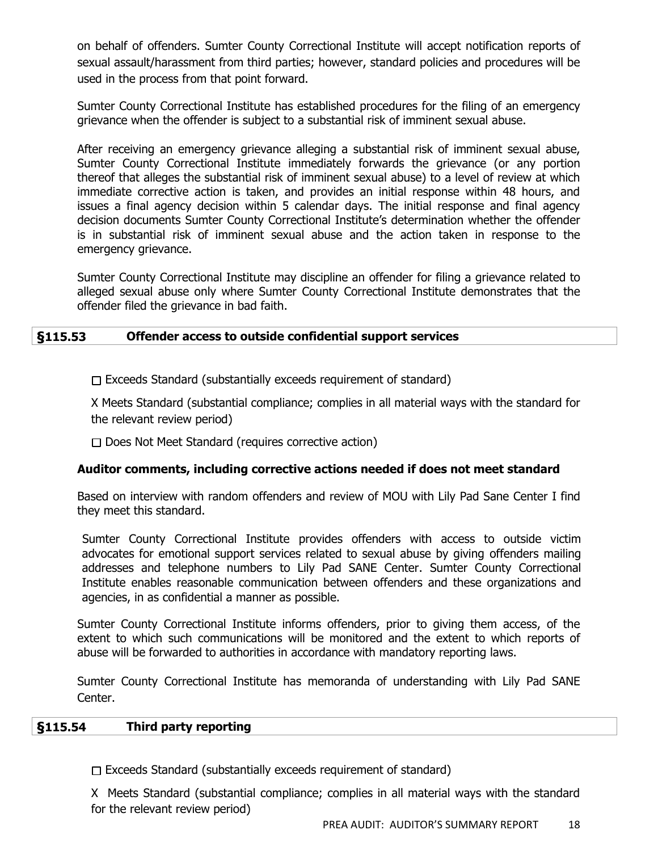on behalf of offenders. Sumter County Correctional Institute will accept notification reports of sexual assault/harassment from third parties; however, standard policies and procedures will be used in the process from that point forward.

Sumter County Correctional Institute has established procedures for the filing of an emergency grievance when the offender is subject to a substantial risk of imminent sexual abuse.

After receiving an emergency grievance alleging a substantial risk of imminent sexual abuse, Sumter County Correctional Institute immediately forwards the grievance (or any portion thereof that alleges the substantial risk of imminent sexual abuse) to a level of review at which immediate corrective action is taken, and provides an initial response within 48 hours, and issues a final agency decision within 5 calendar days. The initial response and final agency decision documents Sumter County Correctional Institute's determination whether the offender is in substantial risk of imminent sexual abuse and the action taken in response to the emergency grievance.

Sumter County Correctional Institute may discipline an offender for filing a grievance related to alleged sexual abuse only where Sumter County Correctional Institute demonstrates that the offender filed the grievance in bad faith.

## **§115.53 Offender access to outside confidential support services**

 $\Box$  Exceeds Standard (substantially exceeds requirement of standard)

X Meets Standard (substantial compliance; complies in all material ways with the standard for the relevant review period)

 $\Box$  Does Not Meet Standard (requires corrective action)

## **Auditor comments, including corrective actions needed if does not meet standard**

Based on interview with random offenders and review of MOU with Lily Pad Sane Center I find they meet this standard.

Sumter County Correctional Institute provides offenders with access to outside victim advocates for emotional support services related to sexual abuse by giving offenders mailing addresses and telephone numbers to Lily Pad SANE Center. Sumter County Correctional Institute enables reasonable communication between offenders and these organizations and agencies, in as confidential a manner as possible.

Sumter County Correctional Institute informs offenders, prior to giving them access, of the extent to which such communications will be monitored and the extent to which reports of abuse will be forwarded to authorities in accordance with mandatory reporting laws.

Sumter County Correctional Institute has memoranda of understanding with Lily Pad SANE Center.

## **§115.54 Third party reporting**

 $\Box$  Exceeds Standard (substantially exceeds requirement of standard)

X Meets Standard (substantial compliance; complies in all material ways with the standard for the relevant review period)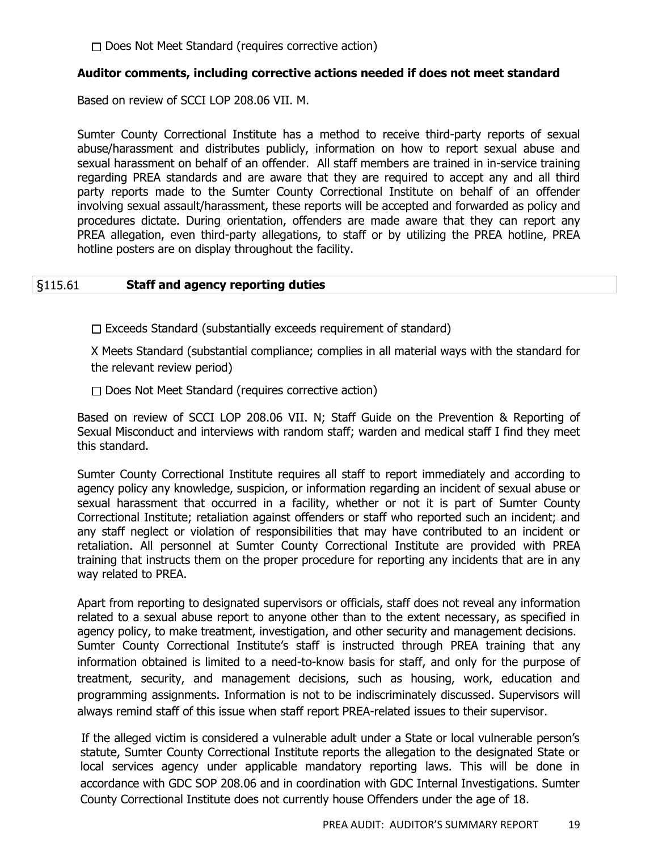□ Does Not Meet Standard (requires corrective action)

## **Auditor comments, including corrective actions needed if does not meet standard**

Based on review of SCCI LOP 208.06 VII. M.

Sumter County Correctional Institute has a method to receive third-party reports of sexual abuse/harassment and distributes publicly, information on how to report sexual abuse and sexual harassment on behalf of an offender. All staff members are trained in in-service training regarding PREA standards and are aware that they are required to accept any and all third party reports made to the Sumter County Correctional Institute on behalf of an offender involving sexual assault/harassment, these reports will be accepted and forwarded as policy and procedures dictate. During orientation, offenders are made aware that they can report any PREA allegation, even third-party allegations, to staff or by utilizing the PREA hotline, PREA hotline posters are on display throughout the facility.

## §115.61 **Staff and agency reporting duties**

 $\Box$  Exceeds Standard (substantially exceeds requirement of standard)

X Meets Standard (substantial compliance; complies in all material ways with the standard for the relevant review period)

 $\Box$  Does Not Meet Standard (requires corrective action)

Based on review of SCCI LOP 208.06 VII. N; Staff Guide on the Prevention & Reporting of Sexual Misconduct and interviews with random staff; warden and medical staff I find they meet this standard.

Sumter County Correctional Institute requires all staff to report immediately and according to agency policy any knowledge, suspicion, or information regarding an incident of sexual abuse or sexual harassment that occurred in a facility, whether or not it is part of Sumter County Correctional Institute; retaliation against offenders or staff who reported such an incident; and any staff neglect or violation of responsibilities that may have contributed to an incident or retaliation. All personnel at Sumter County Correctional Institute are provided with PREA training that instructs them on the proper procedure for reporting any incidents that are in any way related to PREA.

Apart from reporting to designated supervisors or officials, staff does not reveal any information related to a sexual abuse report to anyone other than to the extent necessary, as specified in agency policy, to make treatment, investigation, and other security and management decisions. Sumter County Correctional Institute's staff is instructed through PREA training that any information obtained is limited to a need-to-know basis for staff, and only for the purpose of treatment, security, and management decisions, such as housing, work, education and programming assignments. Information is not to be indiscriminately discussed. Supervisors will always remind staff of this issue when staff report PREA-related issues to their supervisor.

If the alleged victim is considered a vulnerable adult under a State or local vulnerable person's statute, Sumter County Correctional Institute reports the allegation to the designated State or local services agency under applicable mandatory reporting laws. This will be done in accordance with GDC SOP 208.06 and in coordination with GDC Internal Investigations. Sumter County Correctional Institute does not currently house Offenders under the age of 18.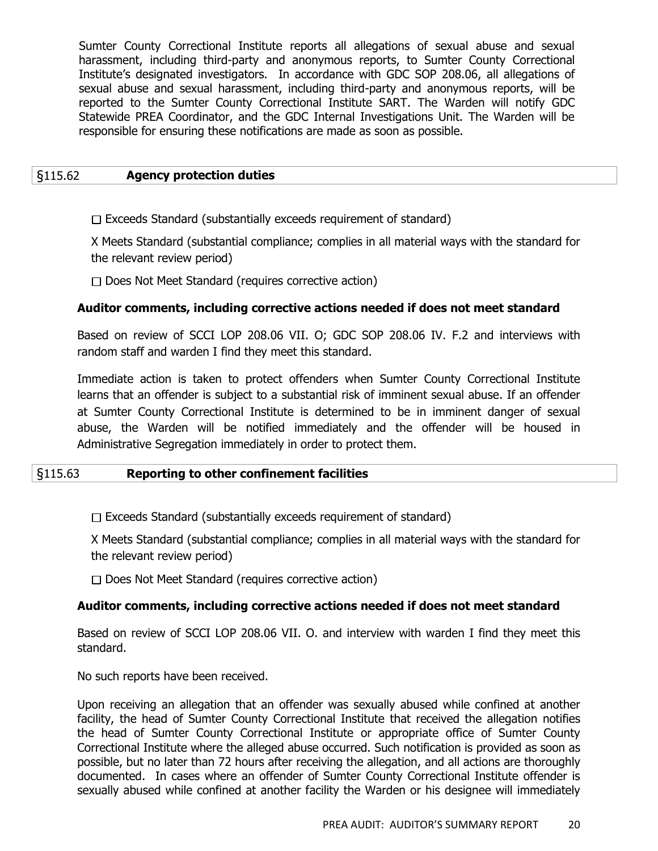Sumter County Correctional Institute reports all allegations of sexual abuse and sexual harassment, including third-party and anonymous reports, to Sumter County Correctional Institute's designated investigators. In accordance with GDC SOP 208.06, all allegations of sexual abuse and sexual harassment, including third-party and anonymous reports, will be reported to the Sumter County Correctional Institute SART. The Warden will notify GDC Statewide PREA Coordinator, and the GDC Internal Investigations Unit. The Warden will be responsible for ensuring these notifications are made as soon as possible.

#### §115.62 **Agency protection duties**

 $\Box$  Exceeds Standard (substantially exceeds requirement of standard)

X Meets Standard (substantial compliance; complies in all material ways with the standard for the relevant review period)

 $\Box$  Does Not Meet Standard (requires corrective action)

#### **Auditor comments, including corrective actions needed if does not meet standard**

Based on review of SCCI LOP 208.06 VII. O; GDC SOP 208.06 IV. F.2 and interviews with random staff and warden I find they meet this standard.

Immediate action is taken to protect offenders when Sumter County Correctional Institute learns that an offender is subject to a substantial risk of imminent sexual abuse. If an offender at Sumter County Correctional Institute is determined to be in imminent danger of sexual abuse, the Warden will be notified immediately and the offender will be housed in Administrative Segregation immediately in order to protect them.

## §115.63 **Reporting to other confinement facilities**

 $\Box$  Exceeds Standard (substantially exceeds requirement of standard)

X Meets Standard (substantial compliance; complies in all material ways with the standard for the relevant review period)

 $\Box$  Does Not Meet Standard (requires corrective action)

#### **Auditor comments, including corrective actions needed if does not meet standard**

Based on review of SCCI LOP 208.06 VII. O. and interview with warden I find they meet this standard.

No such reports have been received.

Upon receiving an allegation that an offender was sexually abused while confined at another facility, the head of Sumter County Correctional Institute that received the allegation notifies the head of Sumter County Correctional Institute or appropriate office of Sumter County Correctional Institute where the alleged abuse occurred. Such notification is provided as soon as possible, but no later than 72 hours after receiving the allegation, and all actions are thoroughly documented. In cases where an offender of Sumter County Correctional Institute offender is sexually abused while confined at another facility the Warden or his designee will immediately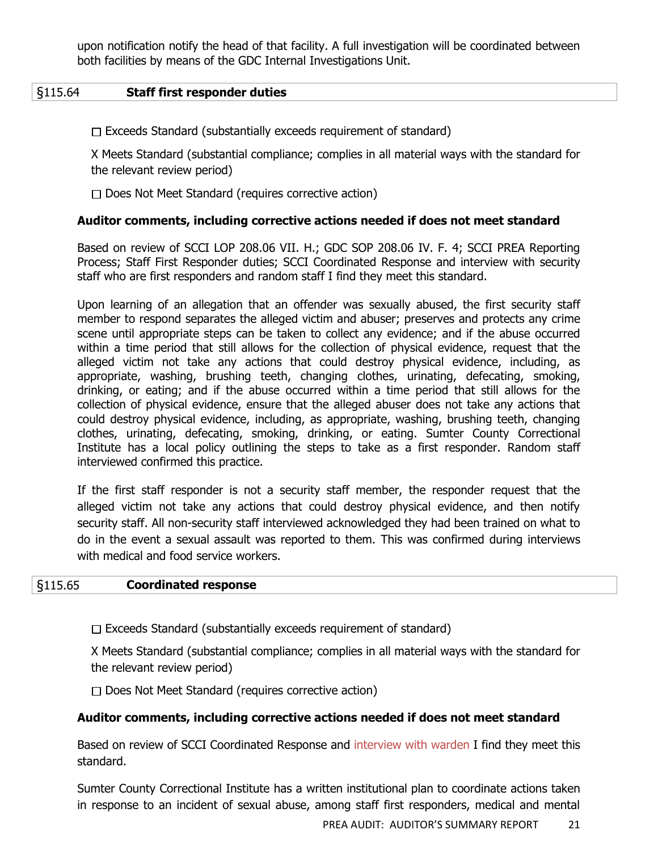upon notification notify the head of that facility. A full investigation will be coordinated between both facilities by means of the GDC Internal Investigations Unit.

## §115.64 **Staff first responder duties**

 $\Box$  Exceeds Standard (substantially exceeds requirement of standard)

X Meets Standard (substantial compliance; complies in all material ways with the standard for the relevant review period)

 $\Box$  Does Not Meet Standard (requires corrective action)

#### **Auditor comments, including corrective actions needed if does not meet standard**

Based on review of SCCI LOP 208.06 VII. H.; GDC SOP 208.06 IV. F. 4; SCCI PREA Reporting Process; Staff First Responder duties; SCCI Coordinated Response and interview with security staff who are first responders and random staff I find they meet this standard.

Upon learning of an allegation that an offender was sexually abused, the first security staff member to respond separates the alleged victim and abuser; preserves and protects any crime scene until appropriate steps can be taken to collect any evidence; and if the abuse occurred within a time period that still allows for the collection of physical evidence, request that the alleged victim not take any actions that could destroy physical evidence, including, as appropriate, washing, brushing teeth, changing clothes, urinating, defecating, smoking, drinking, or eating; and if the abuse occurred within a time period that still allows for the collection of physical evidence, ensure that the alleged abuser does not take any actions that could destroy physical evidence, including, as appropriate, washing, brushing teeth, changing clothes, urinating, defecating, smoking, drinking, or eating. Sumter County Correctional Institute has a local policy outlining the steps to take as a first responder. Random staff interviewed confirmed this practice.

If the first staff responder is not a security staff member, the responder request that the alleged victim not take any actions that could destroy physical evidence, and then notify security staff. All non-security staff interviewed acknowledged they had been trained on what to do in the event a sexual assault was reported to them. This was confirmed during interviews with medical and food service workers.

#### §115.65 **Coordinated response**

 $\Box$  Exceeds Standard (substantially exceeds requirement of standard)

X Meets Standard (substantial compliance; complies in all material ways with the standard for the relevant review period)

 $\Box$  Does Not Meet Standard (requires corrective action)

## **Auditor comments, including corrective actions needed if does not meet standard**

Based on review of SCCI Coordinated Response and interview with warden I find they meet this standard.

Sumter County Correctional Institute has a written institutional plan to coordinate actions taken in response to an incident of sexual abuse, among staff first responders, medical and mental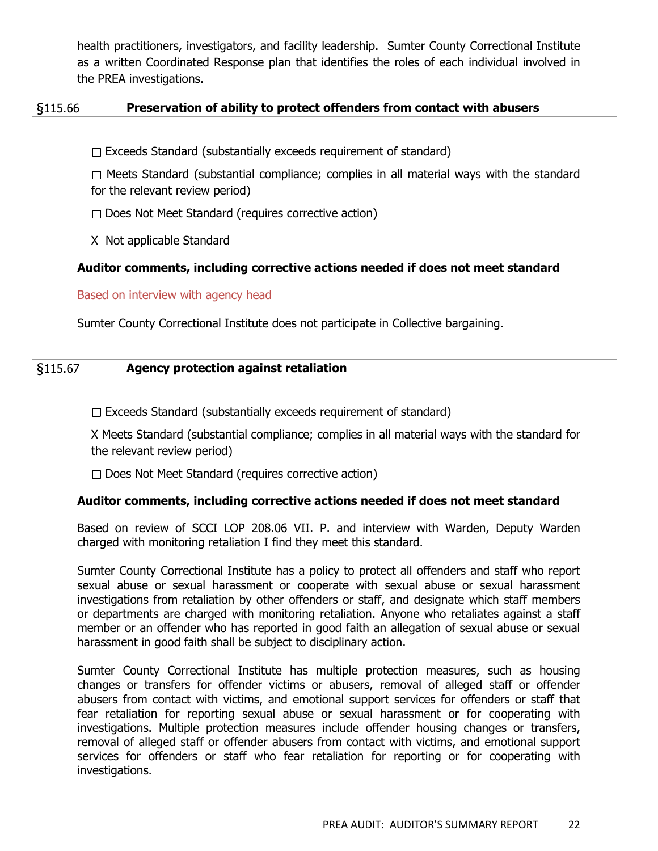health practitioners, investigators, and facility leadership. Sumter County Correctional Institute as a written Coordinated Response plan that identifies the roles of each individual involved in the PREA investigations.

## §115.66 **Preservation of ability to protect offenders from contact with abusers**

 $\Box$  Exceeds Standard (substantially exceeds requirement of standard)

 $\Box$  Meets Standard (substantial compliance; complies in all material ways with the standard for the relevant review period)

 $\Box$  Does Not Meet Standard (requires corrective action)

X Not applicable Standard

#### **Auditor comments, including corrective actions needed if does not meet standard**

Based on interview with agency head

Sumter County Correctional Institute does not participate in Collective bargaining.

| $\vert$ §115.67 | <b>Agency protection against retaliation</b> |  |
|-----------------|----------------------------------------------|--|
|                 |                                              |  |

 $\Box$  Exceeds Standard (substantially exceeds requirement of standard)

X Meets Standard (substantial compliance; complies in all material ways with the standard for the relevant review period)

 $\Box$  Does Not Meet Standard (requires corrective action)

#### **Auditor comments, including corrective actions needed if does not meet standard**

Based on review of SCCI LOP 208.06 VII. P. and interview with Warden, Deputy Warden charged with monitoring retaliation I find they meet this standard.

Sumter County Correctional Institute has a policy to protect all offenders and staff who report sexual abuse or sexual harassment or cooperate with sexual abuse or sexual harassment investigations from retaliation by other offenders or staff, and designate which staff members or departments are charged with monitoring retaliation. Anyone who retaliates against a staff member or an offender who has reported in good faith an allegation of sexual abuse or sexual harassment in good faith shall be subject to disciplinary action.

Sumter County Correctional Institute has multiple protection measures, such as housing changes or transfers for offender victims or abusers, removal of alleged staff or offender abusers from contact with victims, and emotional support services for offenders or staff that fear retaliation for reporting sexual abuse or sexual harassment or for cooperating with investigations. Multiple protection measures include offender housing changes or transfers, removal of alleged staff or offender abusers from contact with victims, and emotional support services for offenders or staff who fear retaliation for reporting or for cooperating with investigations.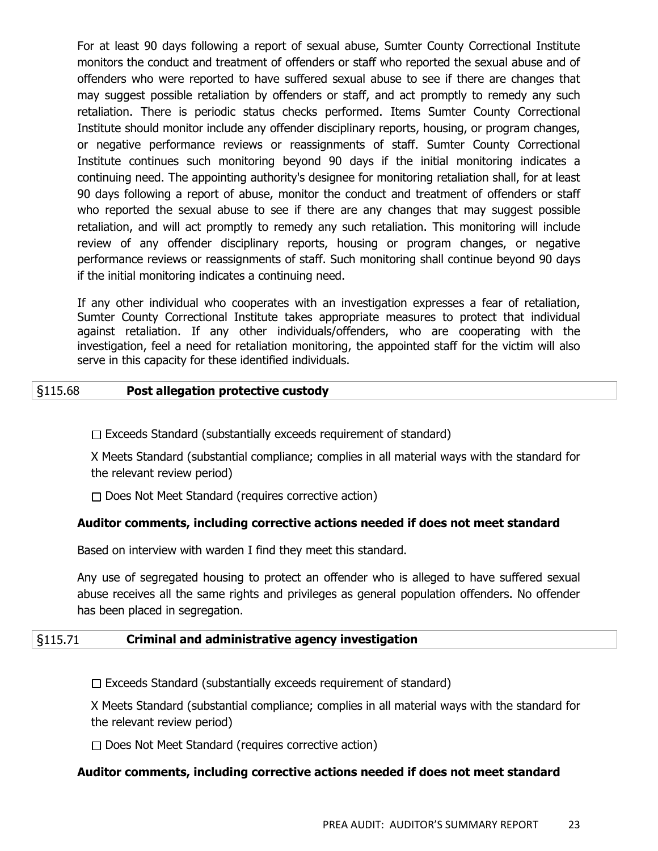For at least 90 days following a report of sexual abuse, Sumter County Correctional Institute monitors the conduct and treatment of offenders or staff who reported the sexual abuse and of offenders who were reported to have suffered sexual abuse to see if there are changes that may suggest possible retaliation by offenders or staff, and act promptly to remedy any such retaliation. There is periodic status checks performed. Items Sumter County Correctional Institute should monitor include any offender disciplinary reports, housing, or program changes, or negative performance reviews or reassignments of staff. Sumter County Correctional Institute continues such monitoring beyond 90 days if the initial monitoring indicates a continuing need. The appointing authority's designee for monitoring retaliation shall, for at least 90 days following a report of abuse, monitor the conduct and treatment of offenders or staff who reported the sexual abuse to see if there are any changes that may suggest possible retaliation, and will act promptly to remedy any such retaliation. This monitoring will include review of any offender disciplinary reports, housing or program changes, or negative performance reviews or reassignments of staff. Such monitoring shall continue beyond 90 days if the initial monitoring indicates a continuing need.

If any other individual who cooperates with an investigation expresses a fear of retaliation, Sumter County Correctional Institute takes appropriate measures to protect that individual against retaliation. If any other individuals/offenders, who are cooperating with the investigation, feel a need for retaliation monitoring, the appointed staff for the victim will also serve in this capacity for these identified individuals.

## §115.68 **Post allegation protective custody**

 $\Box$  Exceeds Standard (substantially exceeds requirement of standard)

X Meets Standard (substantial compliance; complies in all material ways with the standard for the relevant review period)

 $\Box$  Does Not Meet Standard (requires corrective action)

# **Auditor comments, including corrective actions needed if does not meet standard**

Based on interview with warden I find they meet this standard.

Any use of segregated housing to protect an offender who is alleged to have suffered sexual abuse receives all the same rights and privileges as general population offenders. No offender has been placed in segregation.

## §115.71 **Criminal and administrative agency investigation**

 $\Box$  Exceeds Standard (substantially exceeds requirement of standard)

X Meets Standard (substantial compliance; complies in all material ways with the standard for the relevant review period)

 $\Box$  Does Not Meet Standard (requires corrective action)

# **Auditor comments, including corrective actions needed if does not meet standard**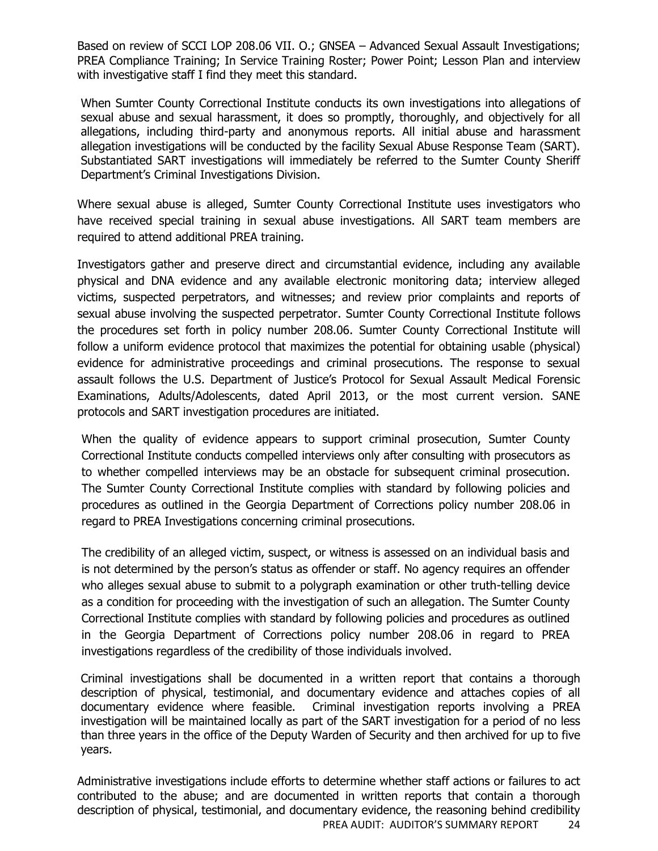Based on review of SCCI LOP 208.06 VII. O.; GNSEA – Advanced Sexual Assault Investigations; PREA Compliance Training; In Service Training Roster; Power Point; Lesson Plan and interview with investigative staff I find they meet this standard.

When Sumter County Correctional Institute conducts its own investigations into allegations of sexual abuse and sexual harassment, it does so promptly, thoroughly, and objectively for all allegations, including third-party and anonymous reports. All initial abuse and harassment allegation investigations will be conducted by the facility Sexual Abuse Response Team (SART). Substantiated SART investigations will immediately be referred to the Sumter County Sheriff Department's Criminal Investigations Division.

Where sexual abuse is alleged, Sumter County Correctional Institute uses investigators who have received special training in sexual abuse investigations. All SART team members are required to attend additional PREA training.

Investigators gather and preserve direct and circumstantial evidence, including any available physical and DNA evidence and any available electronic monitoring data; interview alleged victims, suspected perpetrators, and witnesses; and review prior complaints and reports of sexual abuse involving the suspected perpetrator. Sumter County Correctional Institute follows the procedures set forth in policy number 208.06. Sumter County Correctional Institute will follow a uniform evidence protocol that maximizes the potential for obtaining usable (physical) evidence for administrative proceedings and criminal prosecutions. The response to sexual assault follows the U.S. Department of Justice's Protocol for Sexual Assault Medical Forensic Examinations, Adults/Adolescents, dated April 2013, or the most current version. SANE protocols and SART investigation procedures are initiated.

When the quality of evidence appears to support criminal prosecution, Sumter County Correctional Institute conducts compelled interviews only after consulting with prosecutors as to whether compelled interviews may be an obstacle for subsequent criminal prosecution. The Sumter County Correctional Institute complies with standard by following policies and procedures as outlined in the Georgia Department of Corrections policy number 208.06 in regard to PREA Investigations concerning criminal prosecutions.

The credibility of an alleged victim, suspect, or witness is assessed on an individual basis and is not determined by the person's status as offender or staff. No agency requires an offender who alleges sexual abuse to submit to a polygraph examination or other truth-telling device as a condition for proceeding with the investigation of such an allegation. The Sumter County Correctional Institute complies with standard by following policies and procedures as outlined in the Georgia Department of Corrections policy number 208.06 in regard to PREA investigations regardless of the credibility of those individuals involved.

Criminal investigations shall be documented in a written report that contains a thorough description of physical, testimonial, and documentary evidence and attaches copies of all documentary evidence where feasible. Criminal investigation reports involving a PREA investigation will be maintained locally as part of the SART investigation for a period of no less than three years in the office of the Deputy Warden of Security and then archived for up to five years.

PREA AUDIT: AUDITOR'S SUMMARY REPORT 24 Administrative investigations include efforts to determine whether staff actions or failures to act contributed to the abuse; and are documented in written reports that contain a thorough description of physical, testimonial, and documentary evidence, the reasoning behind credibility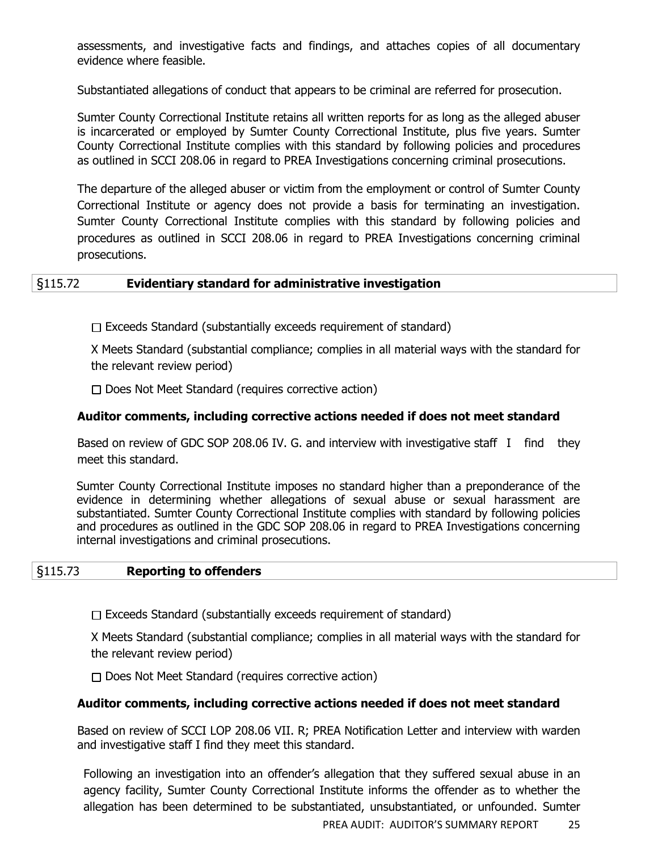assessments, and investigative facts and findings, and attaches copies of all documentary evidence where feasible.

Substantiated allegations of conduct that appears to be criminal are referred for prosecution.

Sumter County Correctional Institute retains all written reports for as long as the alleged abuser is incarcerated or employed by Sumter County Correctional Institute, plus five years. Sumter County Correctional Institute complies with this standard by following policies and procedures as outlined in SCCI 208.06 in regard to PREA Investigations concerning criminal prosecutions.

The departure of the alleged abuser or victim from the employment or control of Sumter County Correctional Institute or agency does not provide a basis for terminating an investigation. Sumter County Correctional Institute complies with this standard by following policies and procedures as outlined in SCCI 208.06 in regard to PREA Investigations concerning criminal prosecutions.

## §115.72 **Evidentiary standard for administrative investigation**

 $\Box$  Exceeds Standard (substantially exceeds requirement of standard)

X Meets Standard (substantial compliance; complies in all material ways with the standard for the relevant review period)

 $\Box$  Does Not Meet Standard (requires corrective action)

## **Auditor comments, including corrective actions needed if does not meet standard**

Based on review of GDC SOP 208.06 IV. G. and interview with investigative staff I find they meet this standard.

Sumter County Correctional Institute imposes no standard higher than a preponderance of the evidence in determining whether allegations of sexual abuse or sexual harassment are substantiated. Sumter County Correctional Institute complies with standard by following policies and procedures as outlined in the GDC SOP 208.06 in regard to PREA Investigations concerning internal investigations and criminal prosecutions.

#### §115.73 **Reporting to offenders**

 $\Box$  Exceeds Standard (substantially exceeds requirement of standard)

X Meets Standard (substantial compliance; complies in all material ways with the standard for the relevant review period)

 $\Box$  Does Not Meet Standard (requires corrective action)

## **Auditor comments, including corrective actions needed if does not meet standard**

Based on review of SCCI LOP 208.06 VII. R; PREA Notification Letter and interview with warden and investigative staff I find they meet this standard.

Following an investigation into an offender's allegation that they suffered sexual abuse in an agency facility, Sumter County Correctional Institute informs the offender as to whether the allegation has been determined to be substantiated, unsubstantiated, or unfounded. Sumter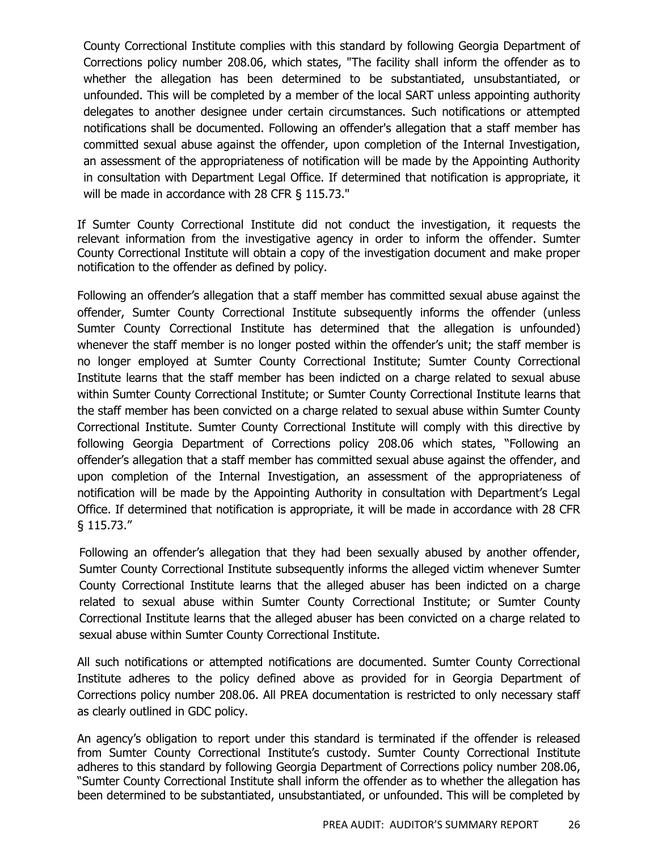County Correctional Institute complies with this standard by following Georgia Department of Corrections policy number 208.06, which states, "The facility shall inform the offender as to whether the allegation has been determined to be substantiated, unsubstantiated, or unfounded. This will be completed by a member of the local SART unless appointing authority delegates to another designee under certain circumstances. Such notifications or attempted notifications shall be documented. Following an offender's allegation that a staff member has committed sexual abuse against the offender, upon completion of the Internal Investigation, an assessment of the appropriateness of notification will be made by the Appointing Authority in consultation with Department Legal Office. If determined that notification is appropriate, it will be made in accordance with 28 CFR § 115.73."

If Sumter County Correctional Institute did not conduct the investigation, it requests the relevant information from the investigative agency in order to inform the offender. Sumter County Correctional Institute will obtain a copy of the investigation document and make proper notification to the offender as defined by policy.

Following an offender's allegation that a staff member has committed sexual abuse against the offender, Sumter County Correctional Institute subsequently informs the offender (unless Sumter County Correctional Institute has determined that the allegation is unfounded) whenever the staff member is no longer posted within the offender's unit; the staff member is no longer employed at Sumter County Correctional Institute; Sumter County Correctional Institute learns that the staff member has been indicted on a charge related to sexual abuse within Sumter County Correctional Institute; or Sumter County Correctional Institute learns that the staff member has been convicted on a charge related to sexual abuse within Sumter County Correctional Institute. Sumter County Correctional Institute will comply with this directive by following Georgia Department of Corrections policy 208.06 which states, "Following an offender's allegation that a staff member has committed sexual abuse against the offender, and upon completion of the Internal Investigation, an assessment of the appropriateness of notification will be made by the Appointing Authority in consultation with Department's Legal Office. If determined that notification is appropriate, it will be made in accordance with 28 CFR § 115.73."

Following an offender's allegation that they had been sexually abused by another offender, Sumter County Correctional Institute subsequently informs the alleged victim whenever Sumter County Correctional Institute learns that the alleged abuser has been indicted on a charge related to sexual abuse within Sumter County Correctional Institute; or Sumter County Correctional Institute learns that the alleged abuser has been convicted on a charge related to sexual abuse within Sumter County Correctional Institute.

All such notifications or attempted notifications are documented. Sumter County Correctional Institute adheres to the policy defined above as provided for in Georgia Department of Corrections policy number 208.06. All PREA documentation is restricted to only necessary staff as clearly outlined in GDC policy.

An agency's obligation to report under this standard is terminated if the offender is released from Sumter County Correctional Institute's custody. Sumter County Correctional Institute adheres to this standard by following Georgia Department of Corrections policy number 208.06, "Sumter County Correctional Institute shall inform the offender as to whether the allegation has been determined to be substantiated, unsubstantiated, or unfounded. This will be completed by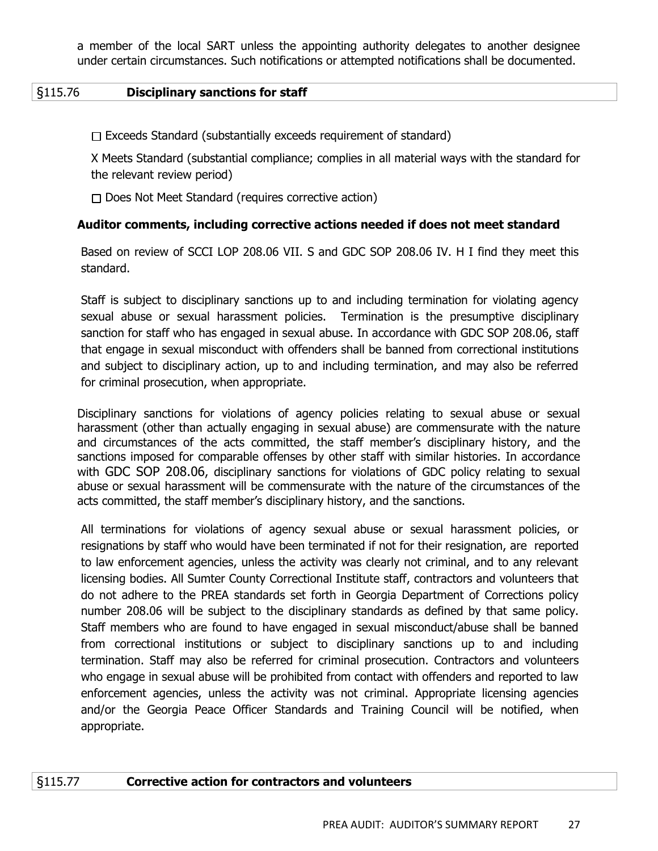a member of the local SART unless the appointing authority delegates to another designee under certain circumstances. Such notifications or attempted notifications shall be documented.

## §115.76 **Disciplinary sanctions for staff**

 $\Box$  Exceeds Standard (substantially exceeds requirement of standard)

X Meets Standard (substantial compliance; complies in all material ways with the standard for the relevant review period)

 $\Box$  Does Not Meet Standard (requires corrective action)

## **Auditor comments, including corrective actions needed if does not meet standard**

Based on review of SCCI LOP 208.06 VII. S and GDC SOP 208.06 IV. H I find they meet this standard.

Staff is subject to disciplinary sanctions up to and including termination for violating agency sexual abuse or sexual harassment policies. Termination is the presumptive disciplinary sanction for staff who has engaged in sexual abuse. In accordance with GDC SOP 208.06, staff that engage in sexual misconduct with offenders shall be banned from correctional institutions and subject to disciplinary action, up to and including termination, and may also be referred for criminal prosecution, when appropriate.

Disciplinary sanctions for violations of agency policies relating to sexual abuse or sexual harassment (other than actually engaging in sexual abuse) are commensurate with the nature and circumstances of the acts committed, the staff member's disciplinary history, and the sanctions imposed for comparable offenses by other staff with similar histories. In accordance with GDC SOP 208.06, disciplinary sanctions for violations of GDC policy relating to sexual abuse or sexual harassment will be commensurate with the nature of the circumstances of the acts committed, the staff member's disciplinary history, and the sanctions.

All terminations for violations of agency sexual abuse or sexual harassment policies, or resignations by staff who would have been terminated if not for their resignation, are reported to law enforcement agencies, unless the activity was clearly not criminal, and to any relevant licensing bodies. All Sumter County Correctional Institute staff, contractors and volunteers that do not adhere to the PREA standards set forth in Georgia Department of Corrections policy number 208.06 will be subject to the disciplinary standards as defined by that same policy. Staff members who are found to have engaged in sexual misconduct/abuse shall be banned from correctional institutions or subject to disciplinary sanctions up to and including termination. Staff may also be referred for criminal prosecution. Contractors and volunteers who engage in sexual abuse will be prohibited from contact with offenders and reported to law enforcement agencies, unless the activity was not criminal. Appropriate licensing agencies and/or the Georgia Peace Officer Standards and Training Council will be notified, when appropriate.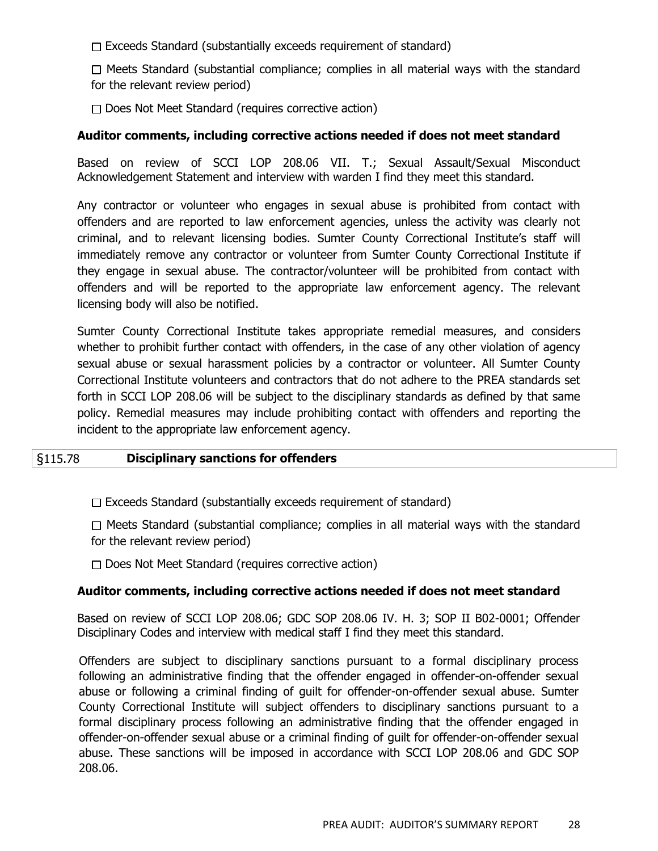$\Box$  Exceeds Standard (substantially exceeds requirement of standard)

 $\Box$  Meets Standard (substantial compliance; complies in all material ways with the standard for the relevant review period)

 $\Box$  Does Not Meet Standard (requires corrective action)

## **Auditor comments, including corrective actions needed if does not meet standard**

Based on review of SCCI LOP 208.06 VII. T.; Sexual Assault/Sexual Misconduct Acknowledgement Statement and interview with warden I find they meet this standard.

Any contractor or volunteer who engages in sexual abuse is prohibited from contact with offenders and are reported to law enforcement agencies, unless the activity was clearly not criminal, and to relevant licensing bodies. Sumter County Correctional Institute's staff will immediately remove any contractor or volunteer from Sumter County Correctional Institute if they engage in sexual abuse. The contractor/volunteer will be prohibited from contact with offenders and will be reported to the appropriate law enforcement agency. The relevant licensing body will also be notified.

Sumter County Correctional Institute takes appropriate remedial measures, and considers whether to prohibit further contact with offenders, in the case of any other violation of agency sexual abuse or sexual harassment policies by a contractor or volunteer. All Sumter County Correctional Institute volunteers and contractors that do not adhere to the PREA standards set forth in SCCI LOP 208.06 will be subject to the disciplinary standards as defined by that same policy. Remedial measures may include prohibiting contact with offenders and reporting the incident to the appropriate law enforcement agency.

## §115.78 **Disciplinary sanctions for offenders**

 $\Box$  Exceeds Standard (substantially exceeds requirement of standard)

 $\Box$  Meets Standard (substantial compliance; complies in all material ways with the standard for the relevant review period)

 $\Box$  Does Not Meet Standard (requires corrective action)

## **Auditor comments, including corrective actions needed if does not meet standard**

Based on review of SCCI LOP 208.06; GDC SOP 208.06 IV. H. 3; SOP II B02-0001; Offender Disciplinary Codes and interview with medical staff I find they meet this standard.

Offenders are subject to disciplinary sanctions pursuant to a formal disciplinary process following an administrative finding that the offender engaged in offender-on-offender sexual abuse or following a criminal finding of guilt for offender-on-offender sexual abuse. Sumter County Correctional Institute will subject offenders to disciplinary sanctions pursuant to a formal disciplinary process following an administrative finding that the offender engaged in offender-on-offender sexual abuse or a criminal finding of guilt for offender-on-offender sexual abuse. These sanctions will be imposed in accordance with SCCI LOP 208.06 and GDC SOP 208.06.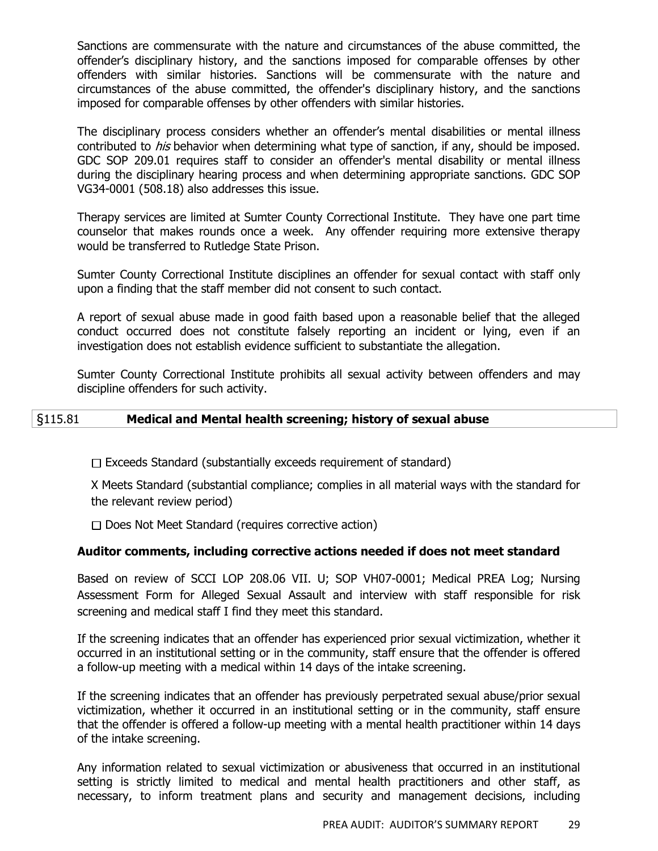Sanctions are commensurate with the nature and circumstances of the abuse committed, the offender's disciplinary history, and the sanctions imposed for comparable offenses by other offenders with similar histories. Sanctions will be commensurate with the nature and circumstances of the abuse committed, the offender's disciplinary history, and the sanctions imposed for comparable offenses by other offenders with similar histories.

The disciplinary process considers whether an offender's mental disabilities or mental illness contributed to *his* behavior when determining what type of sanction, if any, should be imposed. GDC SOP 209.01 requires staff to consider an offender's mental disability or mental illness during the disciplinary hearing process and when determining appropriate sanctions. GDC SOP VG34-0001 (508.18) also addresses this issue.

Therapy services are limited at Sumter County Correctional Institute. They have one part time counselor that makes rounds once a week. Any offender requiring more extensive therapy would be transferred to Rutledge State Prison.

Sumter County Correctional Institute disciplines an offender for sexual contact with staff only upon a finding that the staff member did not consent to such contact.

A report of sexual abuse made in good faith based upon a reasonable belief that the alleged conduct occurred does not constitute falsely reporting an incident or lying, even if an investigation does not establish evidence sufficient to substantiate the allegation.

Sumter County Correctional Institute prohibits all sexual activity between offenders and may discipline offenders for such activity.

## §115.81 **Medical and Mental health screening; history of sexual abuse**

 $\Box$  Exceeds Standard (substantially exceeds requirement of standard)

X Meets Standard (substantial compliance; complies in all material ways with the standard for the relevant review period)

 $\Box$  Does Not Meet Standard (requires corrective action)

## **Auditor comments, including corrective actions needed if does not meet standard**

Based on review of SCCI LOP 208.06 VII. U; SOP VH07-0001; Medical PREA Log; Nursing Assessment Form for Alleged Sexual Assault and interview with staff responsible for risk screening and medical staff I find they meet this standard.

If the screening indicates that an offender has experienced prior sexual victimization, whether it occurred in an institutional setting or in the community, staff ensure that the offender is offered a follow-up meeting with a medical within 14 days of the intake screening.

If the screening indicates that an offender has previously perpetrated sexual abuse/prior sexual victimization, whether it occurred in an institutional setting or in the community, staff ensure that the offender is offered a follow-up meeting with a mental health practitioner within 14 days of the intake screening.

Any information related to sexual victimization or abusiveness that occurred in an institutional setting is strictly limited to medical and mental health practitioners and other staff, as necessary, to inform treatment plans and security and management decisions, including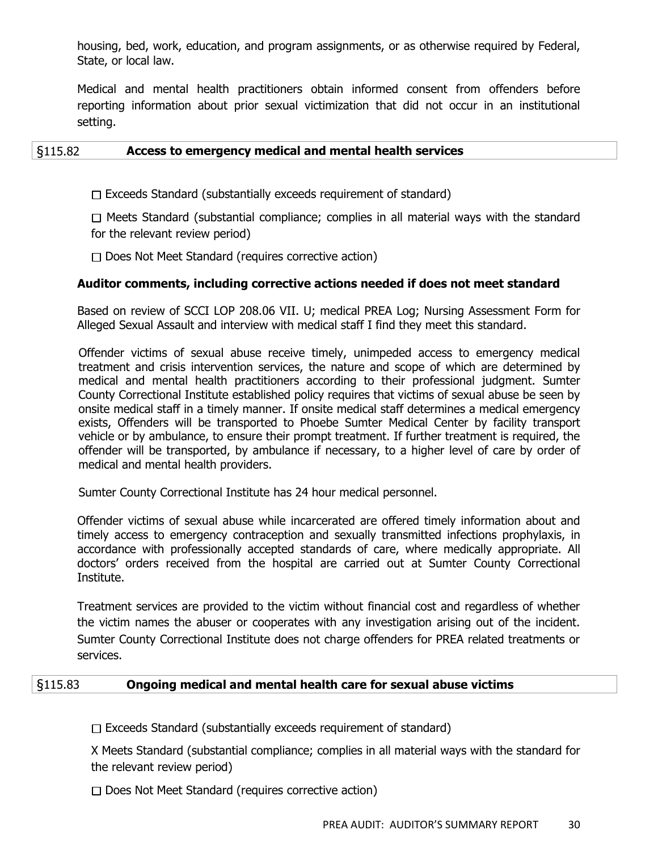housing, bed, work, education, and program assignments, or as otherwise required by Federal, State, or local law.

Medical and mental health practitioners obtain informed consent from offenders before reporting information about prior sexual victimization that did not occur in an institutional setting.

## §115.82 **Access to emergency medical and mental health services**

 $\Box$  Exceeds Standard (substantially exceeds requirement of standard)

 $\Box$  Meets Standard (substantial compliance; complies in all material ways with the standard for the relevant review period)

 $\Box$  Does Not Meet Standard (requires corrective action)

## **Auditor comments, including corrective actions needed if does not meet standard**

Based on review of SCCI LOP 208.06 VII. U; medical PREA Log; Nursing Assessment Form for Alleged Sexual Assault and interview with medical staff I find they meet this standard.

Offender victims of sexual abuse receive timely, unimpeded access to emergency medical treatment and crisis intervention services, the nature and scope of which are determined by medical and mental health practitioners according to their professional judgment. Sumter County Correctional Institute established policy requires that victims of sexual abuse be seen by onsite medical staff in a timely manner. If onsite medical staff determines a medical emergency exists, Offenders will be transported to Phoebe Sumter Medical Center by facility transport vehicle or by ambulance, to ensure their prompt treatment. If further treatment is required, the offender will be transported, by ambulance if necessary, to a higher level of care by order of medical and mental health providers.

Sumter County Correctional Institute has 24 hour medical personnel.

Offender victims of sexual abuse while incarcerated are offered timely information about and timely access to emergency contraception and sexually transmitted infections prophylaxis, in accordance with professionally accepted standards of care, where medically appropriate. All doctors' orders received from the hospital are carried out at Sumter County Correctional Institute.

Treatment services are provided to the victim without financial cost and regardless of whether the victim names the abuser or cooperates with any investigation arising out of the incident. Sumter County Correctional Institute does not charge offenders for PREA related treatments or services.

## §115.83 **Ongoing medical and mental health care for sexual abuse victims**

 $\Box$  Exceeds Standard (substantially exceeds requirement of standard)

X Meets Standard (substantial compliance; complies in all material ways with the standard for the relevant review period)

 $\Box$  Does Not Meet Standard (requires corrective action)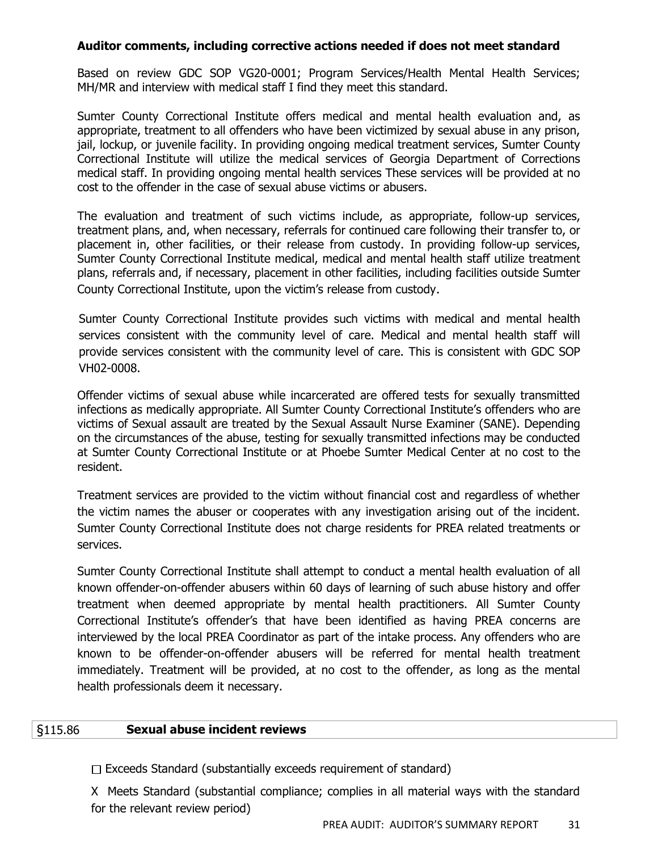## **Auditor comments, including corrective actions needed if does not meet standard**

Based on review GDC SOP VG20-0001; Program Services/Health Mental Health Services; MH/MR and interview with medical staff I find they meet this standard.

Sumter County Correctional Institute offers medical and mental health evaluation and, as appropriate, treatment to all offenders who have been victimized by sexual abuse in any prison, jail, lockup, or juvenile facility. In providing ongoing medical treatment services, Sumter County Correctional Institute will utilize the medical services of Georgia Department of Corrections medical staff. In providing ongoing mental health services These services will be provided at no cost to the offender in the case of sexual abuse victims or abusers.

The evaluation and treatment of such victims include, as appropriate, follow-up services, treatment plans, and, when necessary, referrals for continued care following their transfer to, or placement in, other facilities, or their release from custody. In providing follow-up services, Sumter County Correctional Institute medical, medical and mental health staff utilize treatment plans, referrals and, if necessary, placement in other facilities, including facilities outside Sumter County Correctional Institute, upon the victim's release from custody.

Sumter County Correctional Institute provides such victims with medical and mental health services consistent with the community level of care. Medical and mental health staff will provide services consistent with the community level of care. This is consistent with GDC SOP VH02-0008.

Offender victims of sexual abuse while incarcerated are offered tests for sexually transmitted infections as medically appropriate. All Sumter County Correctional Institute's offenders who are victims of Sexual assault are treated by the Sexual Assault Nurse Examiner (SANE). Depending on the circumstances of the abuse, testing for sexually transmitted infections may be conducted at Sumter County Correctional Institute or at Phoebe Sumter Medical Center at no cost to the resident.

Treatment services are provided to the victim without financial cost and regardless of whether the victim names the abuser or cooperates with any investigation arising out of the incident. Sumter County Correctional Institute does not charge residents for PREA related treatments or services.

Sumter County Correctional Institute shall attempt to conduct a mental health evaluation of all known offender-on-offender abusers within 60 days of learning of such abuse history and offer treatment when deemed appropriate by mental health practitioners. All Sumter County Correctional Institute's offender's that have been identified as having PREA concerns are interviewed by the local PREA Coordinator as part of the intake process. Any offenders who are known to be offender-on-offender abusers will be referred for mental health treatment immediately. Treatment will be provided, at no cost to the offender, as long as the mental health professionals deem it necessary.

## §115.86 **Sexual abuse incident reviews**

 $\Box$  Exceeds Standard (substantially exceeds requirement of standard)

X Meets Standard (substantial compliance; complies in all material ways with the standard for the relevant review period)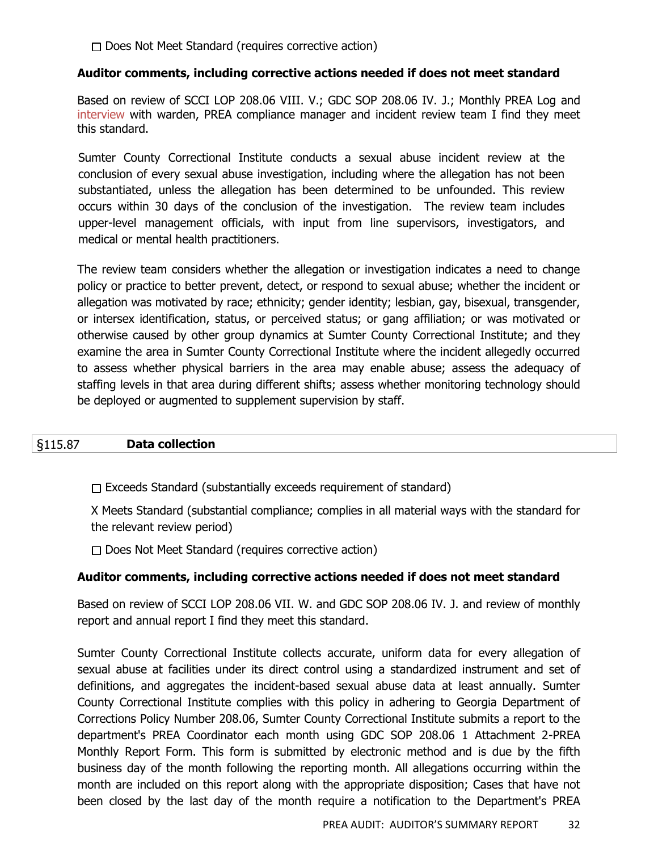$\Box$  Does Not Meet Standard (requires corrective action)

#### **Auditor comments, including corrective actions needed if does not meet standard**

Based on review of SCCI LOP 208.06 VIII. V.; GDC SOP 208.06 IV. J.; Monthly PREA Log and interview with warden, PREA compliance manager and incident review team I find they meet this standard.

Sumter County Correctional Institute conducts a sexual abuse incident review at the conclusion of every sexual abuse investigation, including where the allegation has not been substantiated, unless the allegation has been determined to be unfounded. This review occurs within 30 days of the conclusion of the investigation. The review team includes upper-level management officials, with input from line supervisors, investigators, and medical or mental health practitioners.

The review team considers whether the allegation or investigation indicates a need to change policy or practice to better prevent, detect, or respond to sexual abuse; whether the incident or allegation was motivated by race; ethnicity; gender identity; lesbian, gay, bisexual, transgender, or intersex identification, status, or perceived status; or gang affiliation; or was motivated or otherwise caused by other group dynamics at Sumter County Correctional Institute; and they examine the area in Sumter County Correctional Institute where the incident allegedly occurred to assess whether physical barriers in the area may enable abuse; assess the adequacy of staffing levels in that area during different shifts; assess whether monitoring technology should be deployed or augmented to supplement supervision by staff.

## §115.87 **Data collection**

 $\Box$  Exceeds Standard (substantially exceeds requirement of standard)

X Meets Standard (substantial compliance; complies in all material ways with the standard for the relevant review period)

 $\Box$  Does Not Meet Standard (requires corrective action)

## **Auditor comments, including corrective actions needed if does not meet standard**

Based on review of SCCI LOP 208.06 VII. W. and GDC SOP 208.06 IV. J. and review of monthly report and annual report I find they meet this standard.

Sumter County Correctional Institute collects accurate, uniform data for every allegation of sexual abuse at facilities under its direct control using a standardized instrument and set of definitions, and aggregates the incident-based sexual abuse data at least annually. Sumter County Correctional Institute complies with this policy in adhering to Georgia Department of Corrections Policy Number 208.06, Sumter County Correctional Institute submits a report to the department's PREA Coordinator each month using GDC SOP 208.06 1 Attachment 2-PREA Monthly Report Form. This form is submitted by electronic method and is due by the fifth business day of the month following the reporting month. All allegations occurring within the month are included on this report along with the appropriate disposition; Cases that have not been closed by the last day of the month require a notification to the Department's PREA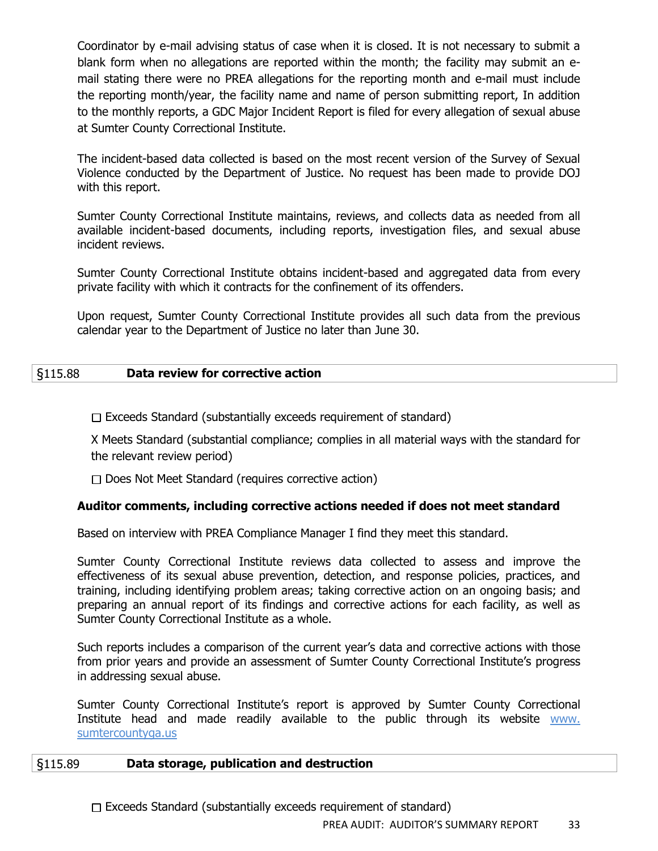Coordinator by e-mail advising status of case when it is closed. It is not necessary to submit a blank form when no allegations are reported within the month; the facility may submit an email stating there were no PREA allegations for the reporting month and e-mail must include the reporting month/year, the facility name and name of person submitting report, In addition to the monthly reports, a GDC Major Incident Report is filed for every allegation of sexual abuse at Sumter County Correctional Institute.

The incident-based data collected is based on the most recent version of the Survey of Sexual Violence conducted by the Department of Justice. No request has been made to provide DOJ with this report.

Sumter County Correctional Institute maintains, reviews, and collects data as needed from all available incident-based documents, including reports, investigation files, and sexual abuse incident reviews.

Sumter County Correctional Institute obtains incident-based and aggregated data from every private facility with which it contracts for the confinement of its offenders.

Upon request, Sumter County Correctional Institute provides all such data from the previous calendar year to the Department of Justice no later than June 30.

## §115.88 **Data review for corrective action**

 $\Box$  Exceeds Standard (substantially exceeds requirement of standard)

X Meets Standard (substantial compliance; complies in all material ways with the standard for the relevant review period)

 $\Box$  Does Not Meet Standard (requires corrective action)

# **Auditor comments, including corrective actions needed if does not meet standard**

Based on interview with PREA Compliance Manager I find they meet this standard.

Sumter County Correctional Institute reviews data collected to assess and improve the effectiveness of its sexual abuse prevention, detection, and response policies, practices, and training, including identifying problem areas; taking corrective action on an ongoing basis; and preparing an annual report of its findings and corrective actions for each facility, as well as Sumter County Correctional Institute as a whole.

Such reports includes a comparison of the current year's data and corrective actions with those from prior years and provide an assessment of Sumter County Correctional Institute's progress in addressing sexual abuse.

Sumter County Correctional Institute's report is approved by Sumter County Correctional Institute head and made readily available to the public through its website www. sumtercountyga.us

## §115.89 **Data storage, publication and destruction**

 $\Box$  Exceeds Standard (substantially exceeds requirement of standard)